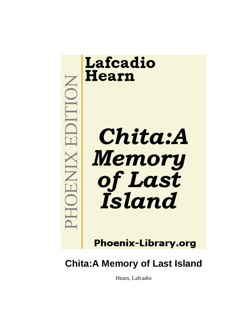

**IOHNIX EDITION** 



**Phoenix-Library.org** 

# **Chita:A Memory of Last Island**

Hearn, Lafcadio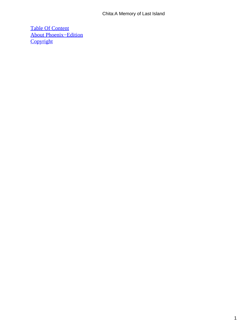#### Chita:A Memory of Last Island

[Table Of Content](#page-69-0) [About Phoenix−Edition](#page-71-0) **[Copyright](#page-74-0)**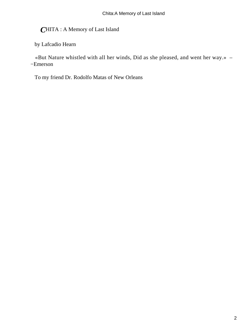*C*HITA : A Memory of Last Island

by Lafcadio Hearn

 «But Nature whistled with all her winds, Did as she pleased, and went her way.» – −Emerson

To my friend Dr. Rodolfo Matas of New Orleans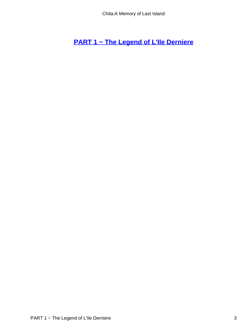**[PART 1 − The Legend of L'Ile Derniere](#page-69-0)**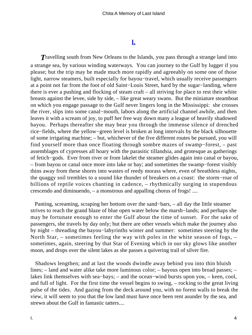## **[I.](#page-69-0)**

**Travelling south from New Orleans to the Islands, you pass through a strange land into** a strange sea, by various winding waterways. You can journey to the Gulf by lugger if you please; but the trip may be made much more rapidly and agreeably on some one of those light, narrow steamers, built especially for bayou−travel, which usually receive passengers at a point not far from the foot of old Saint−Louis Street, hard by the sugar−landing, where there is ever a pushing and flocking of steam craft – all striving for place to rest their white breasts against the levee, side by side, – like great weary swans. But the miniature steamboat on which you engage passage to the Gulf never lingers long in the Mississippi: she crosses the river, slips into some canal−mouth, labors along the artificial channel awhile, and then leaves it with a scream of joy, to puff her free way down many a league of heavily shadowed bayou. Perhaps thereafter she may bear you through the immense silence of drenched rice−fields, where the yellow−green level is broken at long intervals by the black silhouette of some irrigating machine; – but, whichever of the five different routes be pursued, you will find yourself more than once floating through sombre mazes of swamp−forest, – past assemblages of cypresses all hoary with the parasitic tillandsia, and grotesque as gatherings of fetich−gods. Ever from river or from lakelet the steamer glides again into canal or bayou, – from bayou or canal once more into lake or bay; and sometimes the swamp−forest visibly thins away from these shores into wastes of reedy morass where, even of breathless nights, the quaggy soil trembles to a sound like thunder of breakers on a coast: the storm−roar of billions of reptile voices chanting in cadence, – rhythmically surging in stupendous crescendo and diminuendo, – a monstrous and appalling chorus of frogs! ....

 Panting, screaming, scraping her bottom over the sand−bars, – all day the little steamer strives to reach the grand blaze of blue open water below the marsh−lands; and perhaps she may be fortunate enough to enter the Gulf about the time of sunset. For the sake of passengers, she travels by day only; but there are other vessels which make the journey also by night – threading the bayou−labyrinths winter and summer: sometimes steering by the North Star, – sometimes feeling the way with poles in the white season of fogs, – sometimes, again, steering by that Star of Evening which in our sky glows like another moon, and drops over the silent lakes as she passes a quivering trail of silver fire.

 Shadows lengthen; and at last the woods dwindle away behind you into thin bluish lines; – land and water alike take more luminous color; – bayous open into broad passes; – lakes link themselves with sea−bays; – and the ocean−wind bursts upon you, – keen, cool, and full of light. For the first time the vessel begins to swing, – rocking to the great living pulse of the tides. And gazing from the deck around you, with no forest walls to break the view, it will seem to you that the low land must have once been rent asunder by the sea, and strewn about the Gulf in fantastic tatters....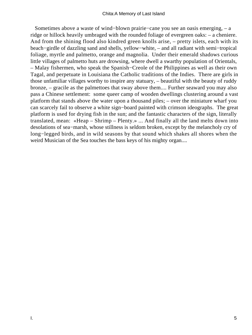Sometimes above a waste of wind−blown prairie−cane you see an oasis emerging, – a ridge or hillock heavily umbraged with the rounded foliage of evergreen oaks: – a cheniere. And from the shining flood also kindred green knolls arise, – pretty islets, each with its beach−girdle of dazzling sand and shells, yellow−white, – and all radiant with semi−tropical foliage, myrtle and palmetto, orange and magnolia. Under their emerald shadows curious little villages of palmetto huts are drowsing, where dwell a swarthy population of Orientals, – Malay fishermen, who speak the Spanish−Creole of the Philippines as well as their own Tagal, and perpetuate in Louisiana the Catholic traditions of the Indies. There are girls in those unfamiliar villages worthy to inspire any statuary, – beautiful with the beauty of ruddy bronze, – gracile as the palmettoes that sway above them.... Further seaward you may also pass a Chinese settlement: some queer camp of wooden dwellings clustering around a vast platform that stands above the water upon a thousand piles; – over the miniature wharf you can scarcely fail to observe a white sign−board painted with crimson ideographs. The great platform is used for drying fish in the sun; and the fantastic characters of the sign, literally translated, mean: «Heap – Shrimp – Plenty.» ... And finally all the land melts down into desolations of sea−marsh, whose stillness is seldom broken, except by the melancholy cry of long−legged birds, and in wild seasons by that sound which shakes all shores when the weird Musician of the Sea touches the bass keys of his mighty organ....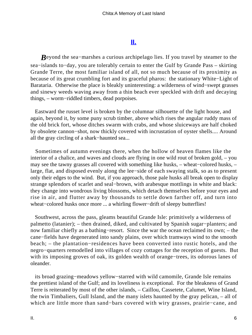## **[II.](#page-69-0)**

*B*eyond the sea−marshes a curious archipelago lies. If you travel by steamer to the sea−islands to−day, you are tolerably certain to enter the Gulf by Grande Pass – skirting Grande Terre, the most familiar island of all, not so much because of its proximity as because of its great crumbling fort and its graceful pharos: the stationary White−Light of Barataria. Otherwise the place is bleakly uninteresting: a wilderness of wind−swept grasses and sinewy weeds waving away from a thin beach ever speckled with drift and decaying things, – worm−riddled timbers, dead porpoises.

 Eastward the russet level is broken by the columnar silhouette of the light house, and again, beyond it, by some puny scrub timber, above which rises the angular ruddy mass of the old brick fort, whose ditches swarm with crabs, and whose sluiceways are half choked by obsolete cannon−shot, now thickly covered with incrustation of oyster shells.... Around all the gray circling of a shark−haunted sea...

 Sometimes of autumn evenings there, when the hollow of heaven flames like the interior of a chalice, and waves and clouds are flying in one wild rout of broken gold, – you may see the tawny grasses all covered with something like husks, – wheat−colored husks, – large, flat, and disposed evenly along the lee−side of each swaying stalk, so as to present only their edges to the wind. But, if you approach, those pale husks all break open to display strange splendors of scarlet and seal−brown, with arabesque mottlings in white and black: they change into wondrous living blossoms, which detach themselves before your eyes and rise in air, and flutter away by thousands to settle down farther off, and turn into wheat−colored husks once more ... a whirling flower−drift of sleepy butterflies!

 Southwest, across the pass, gleams beautiful Grande Isle: primitively a wilderness of palmetto (latanier); – then drained, diked, and cultivated by Spanish sugar−planters; and now familiar chiefly as a bathing−resort. Since the war the ocean reclaimed its own; – the cane−fields have degenerated into sandy plains, over which tramways wind to the smooth beach; – the plantation−residences have been converted into rustic hotels, and the negro−quarters remodelled into villages of cozy cottages for the reception of guests. But with its imposing groves of oak, its golden wealth of orange−trees, its odorous lanes of oleander.

 its broad grazing−meadows yellow−starred with wild camomile, Grande Isle remains the prettiest island of the Gulf; and its loveliness is exceptional. For the bleakness of Grand Terre is reiterated by most of the other islands, – Caillou, Cassetete, Calumet, Wine Island, the twin Timbaliers, Gull Island, and the many islets haunted by the gray pelican, – all of which are little more than sand−bars covered with wiry grasses, prairie−cane, and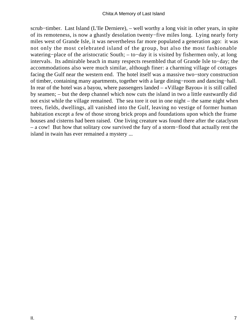scrub–timber. Last Island (L'Ile Derniere), – well worthy a long visit in other years, in spite of its remoteness, is now a ghastly desolation twenty−five miles long. Lying nearly forty miles west of Grande Isle, it was nevertheless far more populated a generation ago: it was not only the most celebrated island of the group, but also the most fashionable watering−place of the aristocratic South; – to−day it is visited by fishermen only, at long intervals. Its admirable beach in many respects resembled that of Grande Isle to−day; the accommodations also were much similar, although finer: a charming village of cottages facing the Gulf near the western end. The hotel itself was a massive two−story construction of timber, containing many apartments, together with a large dining−room and dancing−hall. In rear of the hotel was a bayou, where passengers landed – «Village Bayou» it is still called by seamen; – but the deep channel which now cuts the island in two a little eastwardly did not exist while the village remained. The sea tore it out in one night – the same night when trees, fields, dwellings, all vanished into the Gulf, leaving no vestige of former human habitation except a few of those strong brick props and foundations upon which the frame houses and cisterns had been raised. One living creature was found there after the cataclysm – a cow! But how that solitary cow survived the fury of a storm−flood that actually rent the island in twain has ever remained a mystery ...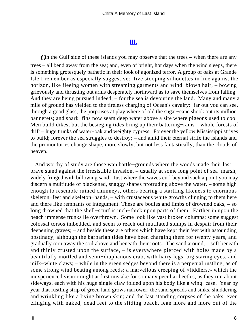## **[III.](#page-69-0)**

**O**n the Gulf side of these islands you may observe that the trees – when there are any trees – all bend away from the sea; and, even of bright, hot days when the wind sleeps, there is something grotesquely pathetic in their look of agonized terror. A group of oaks at Grande Isle I remember as especially suggestive: five stooping silhouettes in line against the horizon, like fleeing women with streaming garments and wind−blown hair, – bowing grievously and thrusting out arms desperately northward as to save themselves from falling. And they are being pursued indeed; – for the sea is devouring the land. Many and many a mile of ground has yielded to the tireless charging of Ocean's cavalry: far out you can see, through a good glass, the porpoises at play where of old the sugar−cane shook out its million bannerets; and shark−fins now seam deep water above a site where pigeons used to coo. Men build dikes; but the besieging tides bring up their battering–rams – whole forests of drift – huge trunks of water−oak and weighty cypress. Forever the yellow Mississippi strives to build; forever the sea struggles to destroy; – and amid their eternal strife the islands and the promontories change shape, more slowly, but not less fantastically, than the clouds of heaven.

 And worthy of study are those wan battle−grounds where the woods made their last brave stand against the irresistible invasion, – usually at some long point of sea−marsh, widely fringed with billowing sand. Just where the waves curl beyond such a point you may discern a multitude of blackened, snaggy shapes protruding above the water, – some high enough to resemble ruined chimneys, others bearing a startling likeness to enormous skeleton−feet and skeleton−hands, – with crustaceous white growths clinging to them here and there like remnants of integument. These are bodies and limbs of drowned oaks, – so long drowned that the shell−scurf is inch−thick upon parts of them. Farther in upon the beach immense trunks lie overthrown. Some look like vast broken columns; some suggest colossal torsos imbedded, and seem to reach out mutilated stumps in despair from their deepening graves; – and beside these are others which have kept their feet with astounding obstinacy, although the barbarian tides have been charging them for twenty years, and gradually torn away the soil above and beneath their roots. The sand around, – soft beneath and thinly crusted upon the surface, – is everywhere pierced with holes made by a beautifully mottled and semi−diaphanous crab, with hairy legs, big staring eyes, and milk−white claws; – while in the green sedges beyond there is a perpetual rustling, as of some strong wind beating among reeds: a marvellous creeping of «fiddlers,» which the inexperienced visitor might at first mistake for so many peculiar beetles, as they run about sideways, each with his huge single claw folded upon his body like a wing−case. Year by year that rustling strip of green land grows narrower; the sand spreads and sinks, shuddering and wrinkling like a living brown skin; and the last standing corpses of the oaks, ever clinging with naked, dead feet to the sliding beach, lean more and more out of the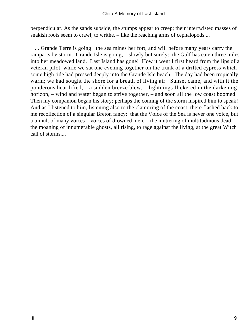perpendicular. As the sands subside, the stumps appear to creep; their intertwisted masses of snakish roots seem to crawl, to writhe, – like the reaching arms of cephalopods....

 ... Grande Terre is going: the sea mines her fort, and will before many years carry the ramparts by storm. Grande Isle is going, – slowly but surely: the Gulf has eaten three miles into her meadowed land. Last Island has gone! How it went I first heard from the lips of a veteran pilot, while we sat one evening together on the trunk of a drifted cypress which some high tide had pressed deeply into the Grande Isle beach. The day had been tropically warm; we had sought the shore for a breath of living air. Sunset came, and with it the ponderous heat lifted, – a sudden breeze blew, – lightnings flickered in the darkening horizon, – wind and water began to strive together, – and soon all the low coast boomed. Then my companion began his story; perhaps the coming of the storm inspired him to speak! And as I listened to him, listening also to the clamoring of the coast, there flashed back to me recollection of a singular Breton fancy: that the Voice of the Sea is never one voice, but a tumult of many voices – voices of drowned men, – the muttering of multitudinous dead, – the moaning of innumerable ghosts, all rising, to rage against the living, at the great Witch call of storms....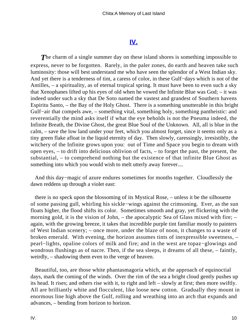## **[IV.](#page-69-0)**

**The charm of a single summer day on these island shores is something impossible to** express, never to be forgotten. Rarely, in the paler zones, do earth and heaven take such luminosity: those will best understand me who have seen the splendor of a West Indian sky. And yet there is a tenderness of tint, a caress of color, in these Gulf−days which is not of the Antilles, – a spirituality, as of eternal tropical spring. It must have been to even such a sky that Xenophanes lifted up his eyes of old when he vowed the Infinite Blue was God; – it was indeed under such a sky that De Soto named the vastest and grandest of Southern havens Espiritu Santo, – the Bay of the Holy Ghost. There is a something unutterable in this bright Gulf−air that compels awe, – something vital, something holy, something pantheistic: and reverentially the mind asks itself if what the eye beholds is not the Pneuma indeed, the Infinite Breath, the Divine Ghost, the great Blue Soul of the Unknown. All, all is blue in the calm, – save the low land under your feet, which you almost forget, since it seems only as a tiny green flake afloat in the liquid eternity of day. Then slowly, caressingly, irresistibly, the witchery of the Infinite grows upon you: out of Time and Space you begin to dream with open eyes, – to drift into delicious oblivion of facts, – to forget the past, the present, the substantial, – to comprehend nothing but the existence of that infinite Blue Ghost as something into which you would wish to melt utterly away forever....

 And this day−magic of azure endures sometimes for months together. Cloudlessly the dawn reddens up through a violet east:

 there is no speck upon the blossoming of its Mystical Rose, – unless it be the silhouette of some passing gull, whirling his sickle−wings against the crimsoning. Ever, as the sun floats higher, the flood shifts its color. Sometimes smooth and gray, yet flickering with the morning gold, it is the vision of John, – the apocalyptic Sea of Glass mixed with fire; – again, with the growing breeze, it takes that incredible purple tint familiar mostly to painters of West Indian scenery; – once more, under the blaze of noon, it changes to a waste of broken emerald. With evening, the horizon assumes tints of inexpressible sweetness, – pearl−lights, opaline colors of milk and fire; and in the west are topaz−glowings and wondrous flushings as of nacre. Then, if the sea sleeps, it dreams of all these, – faintly, weirdly, – shadowing them even to the verge of heaven.

 Beautiful, too, are those white phantasmagoria which, at the approach of equinoctial days, mark the coming of the winds. Over the rim of the sea a bright cloud gently pushes up its head. It rises; and others rise with it, to right and left – slowly at first; then more swiftly. All are brilliantly white and flocculent, like loose new cotton. Gradually they mount in enormous line high above the Gulf, rolling and wreathing into an arch that expands and advances, – bending from horizon to horizon.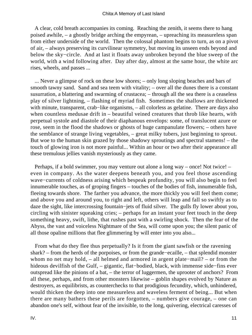A clear, cold breath accompanies its coming. Reaching the zenith, it seems there to hang poised awhile, – a ghostly bridge arching the empyrean, – upreaching its measureless span from either underside of the world. Then the colossal phantom begins to turn, as on a pivot of air, – always preserving its curvilinear symmetry, but moving its unseen ends beyond and below the sky−circle. And at last it floats away unbroken beyond the blue sweep of the world, with a wind following after. Day after day, almost at the same hour, the white arc rises, wheels, and passes ...

 ... Never a glimpse of rock on these low shores; – only long sloping beaches and bars of smooth tawny sand. Sand and sea teem with vitality; – over all the dunes there is a constant susurration, a blattering and swarming of crustacea; – through all the sea there is a ceaseless play of silver lightning, – flashing of myriad fish. Sometimes the shallows are thickened with minute, transparent, crab−like organisms, – all colorless as gelatine. There are days also when countless medusae drift in – beautiful veined creatures that throb like hearts, with perpetual systole and diastole of their diaphanous envelops: some, of translucent azure or rose, seem in the flood the shadows or ghosts of huge campanulate flowers; – others have the semblance of strange living vegetables, – great milky tubers, just beginning to sprout. But woe to the human skin grazed by those shadowy sproutings and spectral stamens! – the touch of glowing iron is not more painful... Within an hour or two after their appearance all these tremulous jellies vanish mysteriously as they came.

 Perhaps, if a bold swimmer, you may venture out alone a long way – once! Not twice! – even in company. As the water deepens beneath you, and you feel those ascending wave−currents of coldness arising which bespeak profundity, you will also begin to feel innumerable touches, as of groping fingers – touches of the bodies of fish, innumerable fish, fleeing towards shore. The farther you advance, the more thickly you will feel them come; and above you and around you, to right and left, others will leap and fall so swiftly as to daze the sight, like intercrossing fountain−jets of fluid silver. The gulls fly lower about you, circling with sinister squeaking cries; – perhaps for an instant your feet touch in the deep something heavy, swift, lithe, that rushes past with a swirling shock. Then the fear of the Abyss, the vast and voiceless Nightmare of the Sea, will come upon you; the silent panic of all those opaline millions that flee glimmering by will enter into you also...

 From what do they flee thus perpetually? Is it from the giant sawfish or the ravening shark? – from the herds of the porpoises, or from the grande−ecaille, – that splendid monster whom no net may hold, – all helmed and armored in argent plate−mail? – or from the hideous devilfish of the Gulf, – gigantic, flat−bodied, black, with immense side−fins ever outspread like the pinions of a bat, – the terror of luggermen, the uprooter of anchors? From all these, perhaps, and from other monsters likewise – goblin shapes evolved by Nature as destroyers, as equilibrists, as counterchecks to that prodigious fecundity, which, unhindered, would thicken the deep into one measureless and waveless ferment of being... But when there are many bathers these perils are forgotten, – numbers give courage, – one can abandon one's self, without fear of the invisible, to the long, quivering, electrical caresses of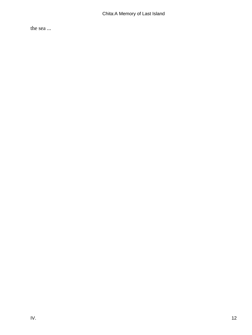the sea ...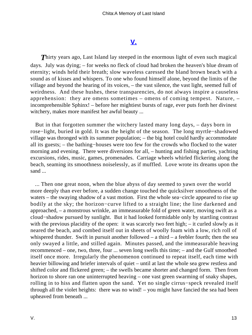## **[V.](#page-69-0)**

**Thirty years ago, Last Island lay steeped in the enormous light of even such magical** days. July was dying; – for weeks no fleck of cloud had broken the heaven's blue dream of eternity; winds held their breath; slow waveless caressed the bland brown beach with a sound as of kisses and whispers. To one who found himself alone, beyond the limits of the village and beyond the hearing of its voices, – the vast silence, the vast light, seemed full of weirdness. And these hushes, these transparencies, do not always inspire a causeless apprehension: they are omens sometimes – omens of coming tempest. Nature, – incomprehensible Sphinx! – before her mightiest bursts of rage, ever puts forth her divinest witchery, makes more manifest her awful beauty ...

 But in that forgotten summer the witchery lasted many long days, – days born in rose−light, buried in gold. It was the height of the season. The long myrtle−shadowed village was thronged with its summer population; – the big hotel could hardly accommodate all its guests; – the bathing−houses were too few for the crowds who flocked to the water morning and evening. There were diversions for all, – hunting and fishing parties, yachting excursions, rides, music, games, promenades. Carriage wheels whirled flickering along the beach, seaming its smoothness noiselessly, as if muffled. Love wrote its dreams upon the sand ...

 ... Then one great noon, when the blue abyss of day seemed to yawn over the world more deeply than ever before, a sudden change touched the quicksilver smoothness of the waters – the swaying shadow of a vast motion. First the whole sea−circle appeared to rise up bodily at the sky; the horizon−curve lifted to a straight line; the line darkened and approached, – a monstrous wrinkle, an immeasurable fold of green water, moving swift as a cloud−shadow pursued by sunlight. But it had looked formidable only by startling contrast with the previous placidity of the open: it was scarcely two feet high; – it curled slowly as it neared the beach, and combed itself out in sheets of woolly foam with a low, rich roll of whispered thunder. Swift in pursuit another followed – a third – a feebler fourth; then the sea only swayed a little, and stilled again. Minutes passed, and the immeasurable heaving recommenced – one, two, three, four ... seven long swells this time; – and the Gulf smoothed itself once more. Irregularly the phenomenon continued to repeat itself, each time with heavier billowing and briefer intervals of quiet – until at last the whole sea grew restless and shifted color and flickered green; – the swells became shorter and changed form. Then from horizon to shore ran one uninterrupted heaving – one vast green swarming of snaky shapes, rolling in to hiss and flatten upon the sand. Yet no single cirrus−speck revealed itself through all the violet heights: there was no wind! – you might have fancied the sea had been upheaved from beneath ...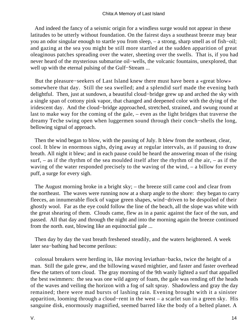And indeed the fancy of a seismic origin for a windless surge would not appear in these latitudes to be utterly without foundation. On the fairest days a southeast breeze may bear you an odor singular enough to startle you from sleep, – a strong, sharp smell as of fish−oil; and gazing at the sea you might be still more startled at the sudden apparition of great oleaginous patches spreading over the water, sheeting over the swells. That is, if you had never heard of the mysterious submarine oil−wells, the volcanic fountains, unexplored, that well up with the eternal pulsing of the Gulf−Stream ...

 But the pleasure−seekers of Last Island knew there must have been a «great blow» somewhere that day. Still the sea swelled; and a splendid surf made the evening bath delightful. Then, just at sundown, a beautiful cloud−bridge grew up and arched the sky with a single span of cottony pink vapor, that changed and deepened color with the dying of the iridescent day. And the cloud−bridge approached, stretched, strained, and swung round at last to make way for the coming of the gale, – even as the light bridges that traverse the dreamy Teche swing open when luggermen sound through their conch−shells the long, bellowing signal of approach.

 Then the wind began to blow, with the passing of July. It blew from the northeast, clear, cool. It blew in enormous sighs, dying away at regular intervals, as if pausing to draw breath. All night it blew; and in each pause could be heard the answering moan of the rising surf, – as if the rhythm of the sea moulded itself after the rhythm of the air, – as if the waving of the water responded precisely to the waving of the wind, – a billow for every puff, a surge for every sigh.

 The August morning broke in a bright sky; – the breeze still came cool and clear from the northeast. The waves were running now at a sharp angle to the shore: they began to carry fleeces, an innumerable flock of vague green shapes, wind−driven to be despoiled of their ghostly wool. Far as the eye could follow the line of the beach, all the slope was white with the great shearing of them. Clouds came, flew as in a panic against the face of the sun, and passed. All that day and through the night and into the morning again the breeze continued from the north. east, blowing like an equinoctial gale ...

 Then day by day the vast breath freshened steadily, and the waters heightened. A week later sea−bathing had become perilous:

 colossal breakers were herding in, like moving leviathan−backs, twice the height of a man. Still the gale grew, and the billowing waxed mightier, and faster and faster overhead flew the tatters of torn cloud. The gray morning of the 9th wanly lighted a surf that appalled the best swimmers: the sea was one wild agony of foam, the gale was rending off the heads of the waves and veiling the horizon with a fog of salt spray. Shadowless and gray the day remained; there were mad bursts of lashing rain. Evening brought with it a sinister apparition, looming through a cloud−rent in the west – a scarlet sun in a green sky. His sanguine disk, enormously magnified, seemed barred like the body of a belted planet. A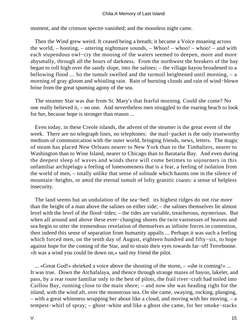moment, and the crimson spectre vanished; and the moonless night came.

 Then the Wind grew weird. It ceased being a breath; it became a Voice moaning across the world, – hooting, – uttering nightmare sounds, – Whoo! – whoo! – whoo! – and with each stupendous owl−cry the mooing of the waters seemed to deepen, more and more abysmally, through all the hours of darkness. From the northwest the breakers of the bay began to roll high over the sandy slope, into the salines; – the village bayou broadened to a bellowing flood ... So the tumult swelled and the turmoil heightened until morning, – a morning of gray gloom and whistling rain. Rain of bursting clouds and rain of wind−blown brine from the great spuming agony of the sea.

 The steamer Star was due from St. Mary's that fearful morning. Could she come? No one really believed it, – no one. And nevertheless men struggled to the roaring beach to look for her, because hope is stronger than reason ...

 Even today, in these Creole islands, the advent of the steamer is the great event of the week. There are no telegraph lines, no telephones: the mail−packet is the only trustworthy medium of communication with the outer world, bringing friends, news, letters. The magic of steam has placed New Orleans nearer to New York than to the Timbaliers, nearer to Washington than to Wine Island, nearer to Chicago than to Barataria Bay. And even during the deepest sleep of waves and winds there will come betimes to sojourners in this unfamiliar archipelago a feeling of lonesomeness that is a fear, a feeling of isolation from the world of men, – totally unlike that sense of solitude which haunts one in the silence of mountain−heights, or amid the eternal tumult of lofty granitic coasts: a sense of helpless insecurity.

 The land seems but an undulation of the sea−bed: its highest ridges do not rise more than the height of a man above the salines on either side; – the salines themselves lie almost level with the level of the flood−tides; – the tides are variable, treacherous, mysterious. But when all around and above these ever−changing shores the twin vastnesses of heaven and sea begin to utter the tremendous revelation of themselves as infinite forces in contention, then indeed this sense of separation from humanity appalls ... Perhaps it was such a feeling which forced men, on the tenth day of August, eighteen hundred and fifty−six, to hope against hope for the coming of the Star, and to strain their eyes towards far−off Terrebonne. «It was a wind you could lie down on,» said my friend the pilot.

 ... «Great God!» shrieked a voice above the shouting of the storm, – «she is coming!» ... It was true. Down the Atchafalaya, and thence through strange mazes of bayou, lakelet, and pass, by a rear route familiar only to the best of pilots, the frail river−craft had toiled into Caillou Bay, running close to the main shore; – and now she was heading right for the island, with the wind aft, over the monstrous sea. On she came, swaying, rocking, plunging, – with a great whiteness wrapping her about like a cloud, and moving with her moving, – a tempest−whirl of spray; – ghost−white and like a ghost she came, for her smoke−stacks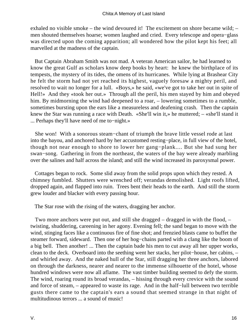exhaled no visible smoke – the wind devoured it! The excitement on shore became wild; – men shouted themselves hoarse; women laughed and cried. Every telescope and opera−glass was directed upon the coming apparition; all wondered how the pilot kept his feet; all marvelled at the madness of the captain.

 But Captain Abraham Smith was not mad. A veteran American sailor, he had learned to know the great Gulf as scholars know deep books by heart: he knew the birthplace of its tempests, the mystery of its tides, the omens of its hurricanes. While lying at Brashear City he felt the storm had not yet reached its highest, vaguely foresaw a mighty peril, and resolved to wait no longer for a lull. «Boys,» he said, «we've got to take her out in spite of Hell!» And they «took her out.» Through all the peril, his men stayed by him and obeyed him. By midmorning the wind had deepened to a roar, – lowering sometimes to a rumble, sometimes bursting upon the ears like a measureless and deafening crash. Then the captain knew the Star was running a race with Death. «She'll win it,» he muttered; – «she'll stand it ... Perhaps they'll have need of me to−night.»

 She won! With a sonorous steam−chant of triumph the brave little vessel rode at last into the bayou, and anchored hard by her accustomed resting−place, in full view of the hotel, though not near enough to shore to lower her gang−plank.... But she had sung her swan−song. Gathering in from the northeast, the waters of the bay were already marbling over the salines and half across the island; and still the wind increased its paroxysmal power.

 Cottages began to rock. Some slid away from the solid props upon which they rested. A chimney fumbled. Shutters were wrenched off; verandas demolished. Light roofs lifted, dropped again, and flapped into ruin. Trees bent their heads to the earth. And still the storm grew louder and blacker with every passing hour.

The Star rose with the rising of the waters, dragging her anchor.

 Two more anchors were put out, and still she dragged – dragged in with the flood, – twisting, shuddering, careening in her agony. Evening fell; the sand began to move with the wind, stinging faces like a continuous fire of fine shot; and frenzied blasts came to buffet the steamer forward, sideward. Then one of her hog−chains parted with a clang like the boom of a big bell. Then another! ... Then the captain bade his men to cut away all her upper works, clean to the deck. Overboard into the seething went her stacks, her pilot−house, her cabins, – and whirled away. And the naked hull of the Star, still dragging her three anchors, labored on through the darkness, nearer and nearer to the immense silhouette of the hotel, whose hundred windows were now all aflame. The vast timber building seemed to defy the storm. The wind, roaring round its broad verandas, – hissing through every crevice with the sound and force of steam, – appeared to waste its rage. And in the half−lull between two terrible gusts there came to the captain's ears a sound that seemed strange in that night of multitudinous terrors ... a sound of music!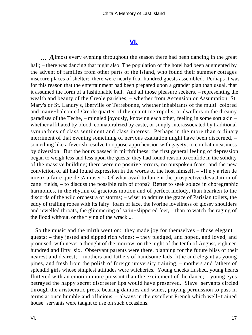### **[VI.](#page-69-0)**

**...** Almost every evening throughout the season there had been dancing in the great hall; – there was dancing that night also. The population of the hotel had been augmented by the advent of families from other parts of the island, who found their summer cottages insecure places of shelter: there were nearly four hundred guests assembled. Perhaps it was for this reason that the entertainment had been prepared upon a grander plan than usual, that it assumed the form of a fashionable ball. And all those pleasure seekers, – representing the wealth and beauty of the Creole parishes, – whether from Ascension or Assumption, St. Mary's or St. Landry's, Iberville or Terrebonne, whether inhabitants of the multi−colored and many−balconied Creole quarter of the quaint metropolis, or dwellers in the dreamy paradises of the Teche, – mingled joyously, knowing each other, feeling in some sort akin – whether affiliated by blood, connaturalized by caste, or simply interassociated by traditional sympathies of class sentiment and class interest. Perhaps in the more than ordinary merriment of that evening something of nervous exaltation might have been discerned, – something like a feverish resolve to oppose apprehension with gayety, to combat uneasiness by diversion. But the hours passed in mirthfulness; the first general feeling of depression began to weigh less and less upon the guests; they had found reason to confide in the solidity of the massive building; there were no positive terrors, no outspoken fears; and the new conviction of all had found expression in the words of the host himself, – «Il n'y a rien de mieux a faire que de s'amuser!» Of what avail to lament the prospective devastation of cane−fields, – to discuss the possible ruin of crops? Better to seek solace in choregraphic harmonies, in the rhythm of gracious motion and of perfect melody, than hearken to the discords of the wild orchestra of storms; – wiser to admire the grace of Parisian toilets, the eddy of trailing robes with its fairy−foam of lace, the ivorine loveliness of glossy shoulders and jewelled throats, the glimmering of satin−slippered feet, – than to watch the raging of the flood without, or the flying of the wrack ...

 So the music and the mirth went on: they made joy for themselves – those elegant guests; – they jested and sipped rich wines; – they pledged, and hoped, and loved, and promised, with never a thought of the morrow, on the night of the tenth of August, eighteen hundred and fifty−six. Observant parents were there, planning for the future bliss of their nearest and dearest; – mothers and fathers of handsome lads, lithe and elegant as young pines, and fresh from the polish of foreign university training; – mothers and fathers of splendid girls whose simplest attitudes were witcheries. Young cheeks flushed, young hearts fluttered with an emotion more puissant than the excitement of the dance; – young eyes betrayed the happy secret discreeter lips would have preserved. Slave−servants circled through the aristocratic press, bearing dainties and wines, praying permission to pass in terms at once humble and officious, – always in the excellent French which well−trained house−servants were taught to use on such occasions.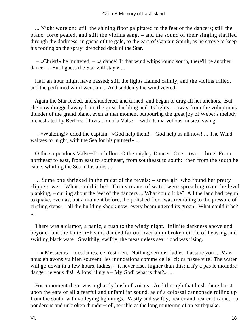... Night wore on: still the shining floor palpitated to the feet of the dancers; still the piano−forte pealed, and still the violins sang, – and the sound of their singing shrilled through the darkness, in gasps of the gale, to the ears of Captain Smith, as he strove to keep his footing on the spray−drenched deck of the Star.

 – «Christ!» he muttered, – «a dance! If that wind whips round south, there'll be another dance! ... But I guess the Star will stay.» ...

 Half an hour might have passed; still the lights flamed calmly, and the violins trilled, and the perfumed whirl went on ... And suddenly the wind veered!

 Again the Star reeled, and shuddered, and turned, and began to drag all her anchors. But she now dragged away from the great building and its lights, – away from the voluptuous thunder of the grand piano, even at that moment outpouring the great joy of Weber's melody orchestrated by Berlioz: l'Invitation a la Valse, – with its marvellous musical swing!

 – «Waltzing!» cried the captain. «God help them! – God help us all now! ... The Wind waltzes to−night, with the Sea for his partner!» ...

 O the stupendous Valse−Tourbillon! O the mighty Dancer! One – two – three! From northeast to east, from east to southeast, from southeast to south: then from the south he came, whirling the Sea in his arms ...

 ... Some one shrieked in the midst of the revels; – some girl who found her pretty slippers wet. What could it be? Thin streams of water were spreading over the level planking, – curling about the feet of the dancers ... What could it be? All the land had begun to quake, even as, but a moment before, the polished floor was trembling to the pressure of circling steps; – all the building shook now; every beam uttered its groan. What could it be? ...

 There was a clamor, a panic, a rush to the windy night. Infinite darkness above and beyond; but the lantern−beams danced far out over an unbroken circle of heaving and swirling black water. Stealthily, swiftly, the measureless sea−flood was rising.

 – « Messieurs – mesdames, ce n'est rien. Nothing serious, ladies, I assure you ... Mais nous en avons vu bien souvent, les inondations comme celle−ci; ca passe vite! The water will go down in a few hours, ladies; – it never rises higher than this; il n'y a pas le moindre danger, je vous dis! Allons! il n'y  $a - My God!$  what is that?» ...

 For a moment there was a ghastly hush of voices. And through that hush there burst upon the ears of all a fearful and unfamiliar sound, as of a colossal cannonade rolling up from the south, with volleying lightnings. Vastly and swiftly, nearer and nearer it came, – a ponderous and unbroken thunder−roll, terrible as the long muttering of an earthquake.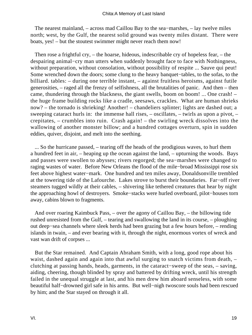The nearest mainland, – across mad Caillou Bay to the sea−marshes, – lay twelve miles north; west, by the Gulf, the nearest solid ground was twenty miles distant. There were boats, yes! – but the stoutest swimmer might never reach them now!

 Then rose a frightful cry, – the hoarse, hideous, indescribable cry of hopeless fear, – the despairing animal−cry man utters when suddenly brought face to face with Nothingness, without preparation, without consolation, without possibility of respite ... Sauve qui peut! Some wrenched down the doors; some clung to the heavy banquet−tables, to the sofas, to the billiard. tables: – during one terrible instant, – against fruitless heroisms, against futile generosities, – raged all the frenzy of selfishness, all the brutalities of panic. And then – then came, thundering through the blackness, the giant swells, boom on boom! ... One crash! – the huge frame building rocks like a cradle, seesaws, crackles. What are human shrieks now? – the tornado is shrieking! Another! – chandeliers splinter; lights are dashed out; a sweeping cataract hurls in: the immense hall rises, – oscillates, – twirls as upon a pivot, – crepitates, – crumbles into ruin. Crash again! – the swirling wreck dissolves into the wallowing of another monster billow; and a hundred cottages overturn, spin in sudden eddies, quiver, disjoint, and melt into the seething.

 ... So the hurricane passed, – tearing off the heads of the prodigious waves, to hurl them a hundred feet in air, – heaping up the ocean against the land, – upturning the woods. Bays and passes were swollen to abysses; rivers regorged; the sea−marshes were changed to raging wastes of water. Before New Orleans the flood of the mile−broad Mississippi rose six feet above highest water−mark. One hundred and ten miles away, Donaldsonville trembled at the towering tide of the Lafourche. Lakes strove to burst their boundaries. Far−off river steamers tugged wildly at their cables, – shivering like tethered creatures that hear by night the approaching howl of destroyers. Smoke−stacks were hurled overboard, pilot−houses torn away, cabins blown to fragments.

 And over roaring Kaimbuck Pass, – over the agony of Caillou Bay, – the billowing tide rushed unresisted from the Gulf, – tearing and swallowing the land in its course, – ploughing out deep−sea channels where sleek herds had been grazing but a few hours before, – rending islands in twain, – and ever bearing with it, through the night, enormous vortex of wreck and vast wan drift of corpses ...

 But the Star remained. And Captain Abraham Smith, with a long, good rope about his waist, dashed again and again into that awful surging to snatch victims from death,  $$ clutching at passing hands, heads, garments, in the cataract−sweep of the seas, – saving, aiding, cheering, though blinded by spray and battered by drifting wreck, until his strength failed in the unequal struggle at last, and his men drew him aboard senseless, with some beautiful half−drowned girl safe in his arms. But well−nigh twoscore souls had been rescued by him; and the Star stayed on through it all.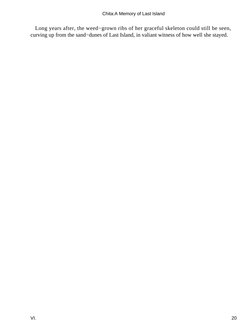Long years after, the weed−grown ribs of her graceful skeleton could still be seen, curving up from the sand−dunes of Last Island, in valiant witness of how well she stayed.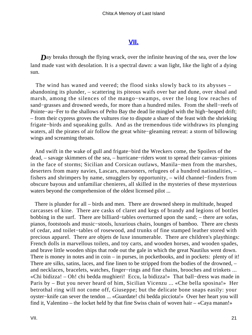#### **[VII.](#page-69-0)**

**D**ay breaks through the flying wrack, over the infinite heaving of the sea, over the low land made vast with desolation. It is a spectral dawn: a wan light, like the light of a dying sun.

 The wind has waned and veered; the flood sinks slowly back to its abysses – abandoning its plunder, – scattering its piteous waifs over bar and dune, over shoal and marsh, among the silences of the mango−swamps, over the long low reaches of sand−grasses and drowned weeds, for more than a hundred miles. From the shell−reefs of Pointe−au−Fer to the shallows of Pelto Bay the dead lie mingled with the high−heaped drift; – from their cypress groves the vultures rise to dispute a share of the feast with the shrieking frigate−birds and squeaking gulls. And as the tremendous tide withdraws its plunging waters, all the pirates of air follow the great white−gleaming retreat: a storm of billowing wings and screaming throats.

 And swift in the wake of gull and frigate−bird the Wreckers come, the Spoilers of the dead, – savage skimmers of the sea, – hurricane−riders wont to spread their canvas−pinions in the face of storms; Sicilian and Corsican outlaws, Manila−men from the marshes, deserters from many navies, Lascars, marooners, refugees of a hundred nationalities, – fishers and shrimpers by name, smugglers by opportunity, – wild channel−finders from obscure bayous and unfamiliar chenieres, all skilled in the mysteries of these mysterious waters beyond the comprehension of the oldest licensed pilot ...

 There is plunder for all – birds and men. There are drowned sheep in multitude, heaped carcasses of kine. There are casks of claret and kegs of brandy and legions of bottles bobbing in the surf. There are billiard−tables overturned upon the sand; – there are sofas, pianos, footstools and music−stools, luxurious chairs, lounges of bamboo. There are chests of cedar, and toilet−tables of rosewood, and trunks of fine stamped leather stored with precious apparel. There are objets de luxe innumerable. There are children's playthings: French dolls in marvellous toilets, and toy carts, and wooden horses, and wooden spades, and brave little wooden ships that rode out the gale in which the great Nautilus went down. There is money in notes and in coin – in purses, in pocketbooks, and in pockets: plenty of it! There are silks, satins, laces, and fine linen to be stripped from the bodies of the drowned, – and necklaces, bracelets, watches, finger−rings and fine chains, brooches and trinkets ... «Chi bidizza! – Oh! chi bedda mughieri! Eccu, la bidizza!» That ball−dress was made in Paris by – But you never heard of him, Sicilian Vicenzu ... «Che bella sposina!» Her betrothal ring will not come off, Giuseppe; but the delicate bone snaps easily: your oyster−knife can sever the tendon ... «Guardate! chi bedda picciota!» Over her heart you will find it, Valentino – the locket held by that fine Swiss chain of woven hair – «Caya manan!»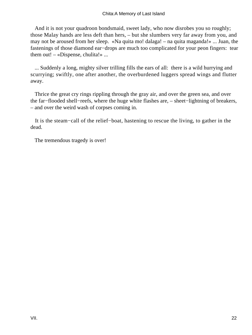And it is not your quadroon bondsmaid, sweet lady, who now disrobes you so roughly; those Malay hands are less deft than hers, – but she slumbers very far away from you, and may not be aroused from her sleep. «Na quita mo! dalaga! – na quita maganda!» ... Juan, the fastenings of those diamond ear−drops are much too complicated for your peon fingers: tear them out! – «Dispense, chulita!» ...

 ... Suddenly a long, mighty silver trilling fills the ears of all: there is a wild hurrying and scurrying; swiftly, one after another, the overburdened luggers spread wings and flutter away.

 Thrice the great cry rings rippling through the gray air, and over the green sea, and over the far−flooded shell−reefs, where the huge white flashes are, – sheet−lightning of breakers, – and over the weird wash of corpses coming in.

 It is the steam−call of the relief−boat, hastening to rescue the living, to gather in the dead.

The tremendous tragedy is over!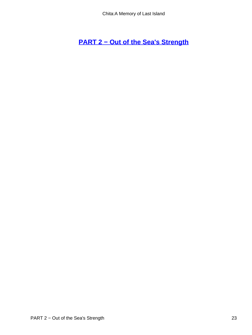**[PART 2 − Out of the Sea's Strength](#page-69-0)**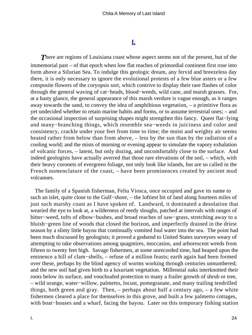## **[I.](#page-69-0)**

**There are regions of Louisiana coast whose aspect seems not of the present, but of the** immemorial past – of that epoch when low flat reaches of primordial continent first rose into form above a Silurian Sea. To indulge this geologic dream, any fervid and breezeless day there, it is only necessary to ignore the evolutional protests of a few blue asters or a few composite flowers of the coryopsis sort, which contrive to display their rare flashes of color through the general waving of cat−heads, blood−weeds, wild cane, and marsh grasses. For, at a hasty glance, the general appearance of this marsh verdure is vague enough, as it ranges away towards the sand, to convey the idea of amphibious vegetation, – a primitive flora as yet undecided whether to retain marine habits and forms, or to assume terrestrial ones; – and the occasional inspection of surprising shapes might strengthen this fancy. Queer flat−lying and many−branching things, which resemble sea−weeds in juiciness and color and consistency, crackle under your feet from time to time; the moist and weighty air seems heated rather from below than from above, – less by the sun than by the radiation of a cooling world; and the mists of morning or evening appear to simulate the vapory exhalation of volcanic forces, – latent, but only dozing, and uncomfortably close to the surface. And indeed geologists have actually averred that those rare elevations of the soil, – which, with their heavy coronets of evergreen foliage, not only look like islands, but are so called in the French nomenclature of the coast, – have been prominences created by ancient mud volcanoes.

 The family of a Spanish fisherman, Feliu Viosca, once occupied and gave its name to such an islet, quite close to the Gulf−shore, – the loftiest bit of land along fourteen miles of just such marshy coast as I have spoken of. Landward, it dominated a desolation that wearied the eye to look at, a wilderness of reedy sloughs, patched at intervals with ranges of bitter−weed, tufts of elbow−bushes, and broad reaches of saw−grass, stretching away to a bluish−green line of woods that closed the horizon, and imperfectly drained in the driest season by a slimy little bayou that continually vomited foul water into the sea. The point had been much discussed by geologists; it proved a godsend to United States surveyors weary of attempting to take observations among quagmires, moccasins, and arborescent weeds from fifteen to twenty feet high. Savage fishermen, at some unrecorded time, had heaped upon the eminence a hill of clam−shells, – refuse of a million feasts; earth again had been formed over these, perhaps by the blind agency of worms working through centuries unnumbered; and the new soil had given birth to a luxuriant vegetation. Millennial oaks interknotted their roots below its surface, and vouchsafed protection to many a frailer growth of shrub or tree, – wild orange, water−willow, palmetto, locust, pomegranate, and many trailing tendrilled things, both green and gray. Then, – perhaps about half a century ago, – a few white fishermen cleared a place for themselves in this grove, and built a few palmetto cottages, with boat−houses and a wharf, facing the bayou. Later on this temporary fishing station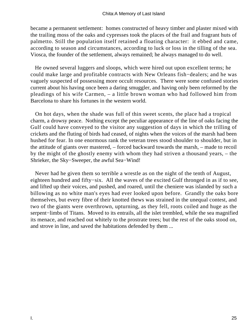became a permanent settlement: homes constructed of heavy timber and plaster mixed with the trailing moss of the oaks and cypresses took the places of the frail and fragrant huts of palmetto. Still the population itself retained a floating character: it ebbed and came, according to season and circumstances, according to luck or loss in the tilling of the sea. Viosca, the founder of the settlement, always remained; he always managed to do well.

 He owned several luggers and sloops, which were hired out upon excellent terms; he could make large and profitable contracts with New Orleans fish−dealers; and he was vaguely suspected of possessing more occult resources. There were some confused stories current about his having once been a daring smuggler, and having only been reformed by the pleadings of his wife Carmen, – a little brown woman who had followed him from Barcelona to share his fortunes in the western world.

 On hot days, when the shade was full of thin sweet scents, the place had a tropical charm, a drowsy peace. Nothing except the peculiar appearance of the line of oaks facing the Gulf could have conveyed to the visitor any suggestion of days in which the trilling of crickets and the fluting of birds had ceased, of nights when the voices of the marsh had been hushed for fear. In one enormous rank the veteran trees stood shoulder to shoulder, but in the attitude of giants over mastered, – forced backward towards the marsh, – made to recoil by the might of the ghostly enemy with whom they had striven a thousand years, – the Shrieker, the Sky−Sweeper, the awful Sea−Wind!

 Never had he given them so terrible a wrestle as on the night of the tenth of August, eighteen hundred and fifty−six. All the waves of the excited Gulf thronged in as if to see, and lifted up their voices, and pushed, and roared, until the cheniere was islanded by such a billowing as no white man's eyes had ever looked upon before. Grandly the oaks bore themselves, but every fibre of their knotted thews was strained in the unequal contest, and two of the giants were overthrown, upturning, as they fell, roots coiled and huge as the serpent–limbs of Titans. Moved to its entrails, all the islet trembled, while the sea magnified its menace, and reached out whitely to the prostrate trees; but the rest of the oaks stood on, and strove in line, and saved the habitations defended by them ...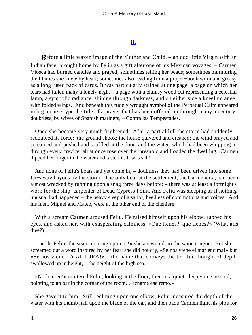## **[II.](#page-69-0)**

*B*efore a little waxen image of the Mother and Child, – an odd little Virgin with an Indian face, brought home by Feliu as a gift after one of his Mexican voyages, – Carmen Viosca had burned candles and prayed; sometimes telling her beads; sometimes murmuring the litanies she knew by heart; sometimes also reading from a prayer−book worn and greasy as a long−used pack of cards. It was particularly stained at one page, a page on which her tears had fallen many a lonely night – a page with a clumsy wood cut representing a celestial lamp, a symbolic radiance, shining through darkness, and on either side a kneeling angel with folded wings. And beneath this rudely wrought symbol of the Perpetual Calm appeared in big, coarse type the title of a prayer that has been offered up through many a century, doubtless, by wives of Spanish mariners, – Contra las Tempestades.

 Once she became very much frightened. After a partial lull the storm had suddenly redoubled its force: the ground shook; the house quivered and creaked; the wind brayed and screamed and pushed and scuffled at the door; and the water, which had been whipping in through every crevice, all at once rose over the threshold and flooded the dwelling. Carmen dipped her finger in the water and tasted it. It was salt!

 And none of Feliu's boats had yet come in; – doubtless they had been driven into some far−away bayous by the storm. The only boat at the settlement, the Carmencita, had been almost wrecked by running upon a snag three days before; – there was at least a fortnight's work for the ship−carpenter of Dead Cypress Point. And Feliu was sleeping as if nothing unusual had happened – the heavy sleep of a sailor, heedless of commotions and voices. And his men, Miguel and Mateo, were at the other end of the cheniere.

 With a scream Carmen aroused Feliu. He raised himself upon his elbow, rubbed his eyes, and asked her, with exasperating calmness, «Que tienes? que tienes?» (What ails thee?)

 – «Oh, Feliu! the sea is coming upon us!» she answered, in the same tongue. But she screamed out a word inspired by her fear: she did not cry, «Se nos viene el mar encima!» but «Se nos viene LA ALTURA!» – the name that conveys the terrible thought of depth swallowed up in height, – the height of the high sea.

 «No lo creo!» muttered Feliu, looking at the floor; then in a quiet, deep voice he said, pointing to an oar in the corner of the room, «Echame ese remo.»

 She gave it to him. Still reclining upon one elbow, Feliu measured the depth of the water with his thumb nail upon the blade of the oar, and then bade Carmen light his pipe for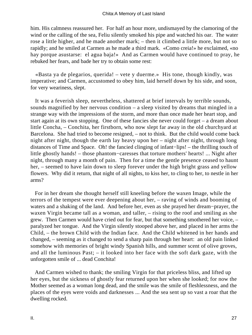him. His calmness reassured her. For half an hour more, undismayed by the clamoring of the wind or the calling of the sea, Feliu silently smoked his pipe and watched his oar. The water rose a little higher, and he made another mark; – then it climbed a little more, but not so rapidly; and he smiled at Carmen as he made a third mark. «Como creia!» he exclaimed, «no hay porque asustarse: el agua baja!» And as Carmen would have continued to pray, he rebuked her fears, and bade her try to obtain some rest:

 «Basta ya de plegarios, querida! – vete y duerme.» His tone, though kindly, was imperative; and Carmen, accustomed to obey him, laid herself down by his side, and soon, for very weariness, slept.

 It was a feverish sleep, nevertheless, shattered at brief intervals by terrible sounds, sounds magnified by her nervous condition – a sleep visited by dreams that mingled in a strange way with the impressions of the storm, and more than once made her heart stop, and start again at its own stopping. One of these fancies she never could forget – a dream about little Concha, – Conchita, her firstborn, who now slept far away in the old churchyard at Barcelona. She had tried to become resigned, – not to think. But the child would come back night after night, though the earth lay heavy upon her – night after night, through long distances of Time and Space. Oh! the fancied clinging of infant−lips! – the thrilling touch of little ghostly hands! – those phantom−caresses that torture mothers' hearts! ... Night after night, through many a month of pain. Then for a time the gentle presence ceased to haunt her, – seemed to have lain down to sleep forever under the high bright grass and yellow flowers. Why did it return, that night of all nights, to kiss her, to cling to her, to nestle in her arms?

 For in her dream she thought herself still kneeling before the waxen Image, while the terrors of the tempest were ever deepening about her, – raving of winds and booming of waters and a shaking of the land. And before her, even as she prayed her dream−prayer, the waxen Virgin became tall as a woman, and taller, – rising to the roof and smiling as she grew. Then Carmen would have cried out for fear, but that something smothered her voice, – paralyzed her tongue. And the Virgin silently stooped above her, and placed in her arms the Child, – the brown Child with the Indian face. And the Child whitened in her hands and changed, – seeming as it changed to send a sharp pain through her heart: an old pain linked somehow with memories of bright windy Spanish hills, and summer scent of olive groves, and all the luminous Past; – it looked into her face with the soft dark gaze, with the unforgotten smile of ... dead Conchita!

 And Carmen wished to thank; the smiling Virgin for that priceless bliss, and lifted up her eyes, but the sickness of ghostly fear returned upon her when she looked; for now the Mother seemed as a woman long dead, and the smile was the smile of fleshlessness, and the places of the eyes were voids and darknesses ... And the sea sent up so vast a roar that the dwelling rocked.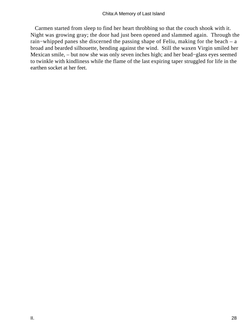Carmen started from sleep to find her heart throbbing so that the couch shook with it. Night was growing gray; the door had just been opened and slammed again. Through the rain−whipped panes she discerned the passing shape of Feliu, making for the beach – a broad and bearded silhouette, bending against the wind. Still the waxen Virgin smiled her Mexican smile, – but now she was only seven inches high; and her bead−glass eyes seemed to twinkle with kindliness while the flame of the last expiring taper struggled for life in the earthen socket at her feet.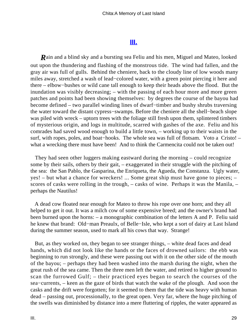## **[III.](#page-69-0)**

*R*ain and a blind sky and a bursting sea Feliu and his men, Miguel and Mateo, looked out upon the thundering and flashing of the monstrous tide. The wind had fallen, and the gray air was full of gulls. Behind the cheniere, back to the cloudy line of low woods many miles away, stretched a wash of lead−colored water, with a green point piercing it here and there – elbow−bushes or wild cane tall enough to keep their heads above the flood. But the inundation was visibly decreasing; – with the passing of each hour more and more green patches and points had been showing themselves: by degrees the course of the bayou had become defined – two parallel winding lines of dwarf−timber and bushy shrubs traversing the water toward the distant cypress−swamps. Before the cheniere all the shell−beach slope was piled with wreck – uptorn trees with the foliage still fresh upon them, splintered timbers of mysterious origin, and logs in multitude, scarred with gashes of the axe. Feliu and his comrades had saved wood enough to build a little town, – working up to their waists in the surf, with ropes, poles, and boat−hooks. The whole sea was full of flotsam. Voto a Cristo! – what a wrecking there must have been! And to think the Carmencita could not be taken out!

 They had seen other luggers making eastward during the morning – could recognize some by their sails, others by their gait, – exaggerated in their struggle with the pitching of the sea: the San Pablo, the Gasparina, the Enriqueta, the Agueda, the Constanza. Ugly water, yes! – but what a chance for wreckers! ... Some great ship must have gone to pieces; – scores of casks were rolling in the trough, – casks of wine. Perhaps it was the Manila, – perhaps the Nautilus!

 A dead cow floated near enough for Mateo to throw his rope over one horn; and they all helped to get it out. It was a milch cow of some expensive breed; and the owner's brand had been burned upon the horns: – a monographic combination of the letters A and P. Feliu said he knew that brand: Old−man Preaulx, of Belle−Isle, who kept a sort of dairy at Last Island during the summer season, used to mark all his cows that way. Strange!

 But, as they worked on, they began to see stranger things, – white dead faces and dead hands, which did not look like the hands or the faces of drowned sailors: the ebb was beginning to run strongly, and these were passing out with it on the other side of the mouth of the bayou; – perhaps they had been washed into the marsh during the night, when the great rush of the sea came. Then the three men left the water, and retired to higher ground to scan the furrowed Gulf; – their practiced eyes began to search the courses of the sea−currents, – keen as the gaze of birds that watch the wake of the plough. And soon the casks and the drift were forgotten; for it seemed to them that the tide was heavy with human dead – passing out, processionally, to the great open. Very far, where the huge pitching of the swells was diminished by distance into a mere fluttering of ripples, the water appeared as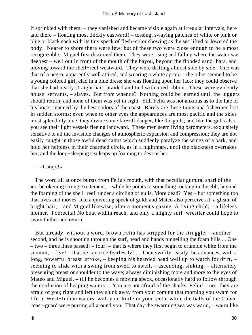if sprinkled with them; – they vanished and became visible again at irregular intervals, here and there – floating most thickly eastward! – tossing, swaying patches of white or pink or blue or black each with its tiny speck of flesh−color showing as the sea lifted or lowered the body. Nearer to shore there were few; but of these two were close enough to be almost recognizable: Miguel first discerned them. They were rising and falling where the water was deepest – well out in front of the mouth of the bayou, beyond the flooded sand−bars, and moving toward the shell−reef westward. They were drifting almost side by side. One was that of a negro, apparently well attired, and wearing a white apron; – the other seemed to be a young colored girl, clad in a blue dress; she was floating upon her face; they could observe that she had nearly straight hair, braided and tied with a red ribbon. These were evidently house−servants, – slaves. But from whence? Nothing could be learned until the luggers should return; and none of them was yet in sight. Still Feliu was not anxious as to the fate of his boats, manned by the best sailors of the coast. Rarely are these Louisiana fishermen lost in sudden storms; even when to other eyes the appearances are most pacific and the skies most splendidly blue, they divine some far−off danger, like the gulls; and like the gulls also, you see their light vessels fleeing landward. These men seem living barometers, exquisitely sensitive to all the invisible changes of atmospheric expansion and compression; they are not easily caught in those awful dead calms which suddenly paralyze the wings of a bark, and hold her helpless in their charmed circle, as in a nightmare, until the blackness overtakes her, and the long−sleeping sea leaps up foaming to devour her.

#### – «Carajo!»

 The word all at once bursts from Feliu's mouth, with that peculiar guttural snarl of the «r» betokening strong excitement, – while he points to something rocking in the ebb, beyond the foaming of the shell−reef, under a circling of gulls. More dead? Yes – but something too that lives and moves, like a quivering speck of gold; and Mateo also perceives it, a gleam of bright hair, – and Miguel likewise, after a moment's gazing. A living child; – a lifeless mother. Pobrecita! No boat within reach, and only a mighty surf−wrestler could hope to swim thither and return!

 But already, without a word, brown Feliu has stripped for the struggle; – another second, and he is shooting through the surf, head and hands tunnelling the foam hills.... One – two – three lines passed! – four! – that is where they first begin to crumble white from the summit, – five! – that he can ride fearlessly! ... Then swiftly, easily, he advances, with a long, powerful breast−stroke, – keeping his bearded head well up to watch for drift, – seeming to slide with a swing from swell to swell, – ascending, sinking, – alternately presenting breast or shoulder to the wave; always diminishing more and more to the eyes of Mateo and Miguel, – till he becomes a moving speck, occasionally hard to follow through the confusion of heaping waters ... You are not afraid of the sharks, Feliu! – no: they are afraid of you; right and left they slunk away from your coming that morning you swam for life in West−Indian waters, with your knife in your teeth, while the balls of the Cuban coast−guard were purring all around you. That day the swarming sea was warm, – warm like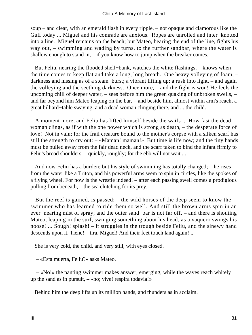soup – and clear, with an emerald flash in every ripple, – not opaque and clamorous like the Gulf today ... Miguel and his comrade are anxious. Ropes are unrolled and inter−knotted into a line. Miguel remains on the beach; but Mateo, bearing the end of the line, fights his way out, – swimming and wading by turns, to the further sandbar, where the water is shallow enough to stand in,  $-$  if you know how to jump when the breaker comes.

 But Feliu, nearing the flooded shell−bank, watches the white flashings, – knows when the time comes to keep flat and take a long, long breath. One heavy volleying of foam, – darkness and hissing as of a steam−burst; a vibrant lifting up; a rush into light, – and again the volleying and the seething darkness. Once more, – and the fight is won! He feels the upcoming chill of deeper water, – sees before him the green quaking of unbroken swells, – and far beyond him Mateo leaping on the bar, – and beside him, almost within arm's reach, a great billiard−table swaying, and a dead woman clinging there, and ... the child.

 A moment more, and Feliu has lifted himself beside the waifs ... How fast the dead woman clings, as if with the one power which is strong as death, – the desperate force of love! Not in vain; for the frail creature bound to the mother's corpse with a silken scarf has still the strength to cry out: – «Maman! maman!» But time is life now; and the tiny hands must be pulled away from the fair dead neck, and the scarf taken to bind the infant firmly to Feliu's broad shoulders, – quickly, roughly; for the ebb will not wait ...

 And now Feliu has a burden; but his style of swimming has totally changed; – he rises from the water like a Triton, and his powerful arms seem to spin in circles, like the spokes of a flying wheel. For now is the wrestle indeed! – after each passing swell comes a prodigious pulling from beneath, – the sea clutching for its prey.

 But the reef is gained, is passed; – the wild horses of the deep seem to know the swimmer who has learned to ride them so well. And still the brown arms spin in an ever−nearing mist of spray; and the outer sand−bar is not far off, – and there is shouting Mateo, leaping in the surf, swinging something about his head, as a vaquero swings his noose! ... Sough! splash! – it struggles in the trough beside Feliu, and the sinewy hand descends upon it. Tiene! – tira, Miguel! And their feet touch land again! ...

She is very cold, the child, and very still, with eyes closed.

– «Esta muerta, Feliu?» asks Mateo.

 – «No!» the panting swimmer makes answer, emerging, while the waves reach whitely up the sand as in pursuit,  $-\infty$ ; vive! respirated via!»

Behind him the deep lifts up its million hands, and thunders as in acclaim.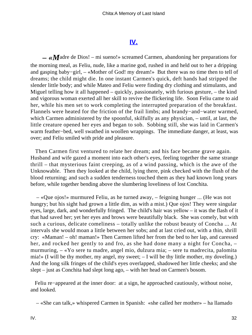## **[IV.](#page-69-0)**

 *– «M*adre de Dios! – mi sueno!» screamed Carmen, abandoning her preparations for the morning meal, as Feliu, nude, like a marine god, rushed in and held out to her a dripping and gasping baby−girl, – «Mother of God! my dream!» But there was no time then to tell of dreams; the child might die. In one instant Carmen's quick, deft hands had stripped the slender little body; and while Mateo and Feliu were finding dry clothing and stimulants, and Miguel telling how it all happened – quickly, passionately, with furious gesture, – the kind and vigorous woman exerted all her skill to revive the flickering life. Soon Feliu came to aid her, while his men set to work completing the interrupted preparation of the breakfast. Flannels were heated for the friction of the frail limbs; and brandy−and−water warmed, which Carmen administered by the spoonful, skilfully as any physician, – until, at last, the little creature opened her eyes and began to sob. Sobbing still, she was laid in Carmen's warm feather−bed, well swathed in woollen wrappings. The immediate danger, at least, was over; and Feliu smiled with pride and pleasure.

 Then Carmen first ventured to relate her dream; and his face became grave again. Husband and wife gazed a moment into each other's eyes, feeling together the same strange thrill – that mysterious faint creeping, as of a wind passing, which is the awe of the Unknowable. Then they looked at the child, lying there, pink checked with the flush of the blood returning; and such a sudden tenderness touched them as they had known long years before, while together bending above the slumbering loveliness of lost Conchita.

 – «Que ojos!» murmured Feliu, as he turned away, – feigning hunger ... (He was not hungry; but his sight had grown a little dim, as with a mist.) Que ojos! They were singular eyes, large, dark, and wonderfully fringed. The child's hair was yellow – it was the flash of it that had saved her; yet her eyes and brows were beautifully black. She was comely, but with such a curious, delicate comeliness – totally unlike the robust beauty of Concha ... At intervals she would moan a little between her sobs; and at last cried out, with a thin, shrill cry: «Maman! – oh! maman!» Then Carmen lifted her from the bed to her lap, and caressed her, and rocked her gently to and fro, as she had done many a night for Concha,  $$ murmuring, – «Yo sere tu madre, angel mio, dulzura mia; – sere tu madrecita, palomita mia!» (I will be thy mother, my angel, my sweet; – I will be thy little mother, my doveling.) And the long silk fringes of the child's eyes overlapped, shadowed her little cheeks; and she slept – just as Conchita had slept long ago, – with her head on Carmen's bosom.

 Feliu re−appeared at the inner door: at a sign, he approached cautiously, without noise, and looked.

– «She can talk,» whispered Carmen in Spanish: «she called her mother» – ha llamado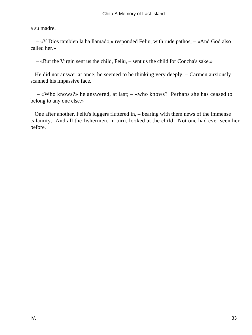a su madre.

 – «Y Dios tambien la ha llamado,» responded Feliu, with rude pathos; – «And God also called her.»

– «But the Virgin sent us the child, Feliu, – sent us the child for Concha's sake.»

 He did not answer at once; he seemed to be thinking very deeply; – Carmen anxiously scanned his impassive face.

 – «Who knows?» he answered, at last; – «who knows? Perhaps she has ceased to belong to any one else.»

 One after another, Feliu's luggers fluttered in, – bearing with them news of the immense calamity. And all the fishermen, in turn, looked at the child. Not one had ever seen her before.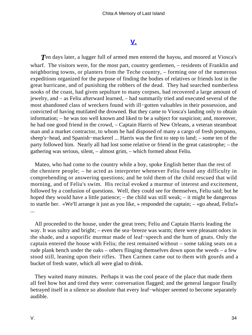## **[V.](#page-69-0)**

**T**en days later, a lugger full of armed men entered the bayou, and moored at Viosca's wharf. The visitors were, for the most part, country gentlemen, – residents of Franklin and neighboring towns, or planters from the Teche country, – forming one of the numerous expeditions organized for the purpose of finding the bodies of relatives or friends lost in the great hurricane, and of punishing the robbers of the dead. They had searched numberless nooks of the coast, had given sepulture to many corpses, had recovered a large amount of jewelry, and – as Feliu afterward learned, – had summarily tried and executed several of the most abandoned class of wreckers found with ill−gotten valuables in their possession, and convicted of having mutilated the drowned. But they came to Viosca's landing only to obtain information; – he was too well known and liked to be a subject for suspicion; and, moreover, he had one good friend in the crowd, – Captain Harris of New Orleans, a veteran steamboat man and a market contractor, to whom he had disposed of many a cargo of fresh pompano, sheep's−head, and Spanish−mackerel ... Harris was the first to step to land; – some ten of the party followed him. Nearly all had lost some relative or friend in the great catastrophe; – the gathering was serious, silent, – almost grim, – which formed about Feliu.

 Mateo, who had come to the country while a boy, spoke English better than the rest of the cheniere people; – he acted as interpreter whenever Feliu found any difficulty in comprehending or answering questions; and he told them of the child rescued that wild morning, and of Feliu's swim. His recital evoked a murmur of interest and excitement, followed by a confusion of questions. Well, they could see for themselves, Feliu said; but he hoped they would have a little patience; – the child was still weak; – it might be dangerous to startle her. «We'll arrange it just as you like, » responded the captain; – «go ahead, Feliu!» ...

 All proceeded to the house, under the great trees; Feliu and Captain Harris leading the way. It was sultry and bright; – even the sea−breeze was warm; there were pleasant odors in the shade, and a soporific murmur made of leaf−speech and the hum of gnats. Only the captain entered the house with Feliu; the rest remained without – some taking seats on a rude plank bench under the oaks – others flinging themselves down upon the weeds – a few stood still, leaning upon their rifles. Then Carmen came out to them with gourds and a bucket of fresh water, which all were glad to drink.

 They waited many minutes. Perhaps it was the cool peace of the place that made them all feel how hot and tired they were: conversation flagged; and the general languor finally betrayed itself in a silence so absolute that every leaf−whisper seemed to become separately audible.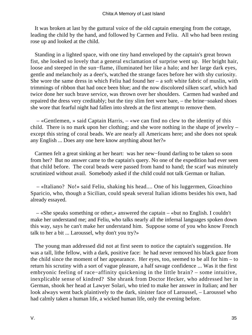It was broken at last by the guttural voice of the old captain emerging from the cottage, leading the child by the hand, and followed by Carmen and Feliu. All who had been resting rose up and looked at the child.

 Standing in a lighted space, with one tiny hand enveloped by the captain's great brown fist, she looked so lovely that a general exclamation of surprise went up. Her bright hair, loose and steeped in the sun−flame, illuminated her like a halo; and her large dark eyes, gentle and melancholy as a deer's, watched the strange faces before her with shy curiosity. She wore the same dress in which Feliu had found her  $-$  a soft white fabric of muslin, with trimmings of ribbon that had once been blue; and the now discolored silken scarf, which had twice done her such brave service, was thrown over her shoulders. Carmen had washed and repaired the dress very creditably; but the tiny slim feet were bare, – the brine−soaked shoes she wore that fearful night had fallen into shreds at the first attempt to remove them.

 – «Gentlemen, » said Captain Harris, – «we can find no clew to the identity of this child. There is no mark upon her clothing; and she wore nothing in the shape of jewelry – except this string of coral beads. We are nearly all Americans here; and she does not speak any English ... Does any one here know anything about her?»

 Carmen felt a great sinking at her heart: was her new−found darling to be taken so soon from her? But no answer came to the captain's query. No one of the expedition had ever seen that child before. The coral beads were passed from hand to hand; the scarf was minutely scrutinized without avail. Somebody asked if the child could not talk German or Italian.

 – «Italiano? No!» said Feliu, shaking his head.... One of his luggermen, Gioachino Sparicio, who, though a Sicilian, could speak several Italian idioms besides his own, had already essayed.

 – «She speaks something or other,» answered the captain – «but no English. I couldn't make her understand me; and Feliu, who talks nearly all the infernal languages spoken down this way, says he can't make her understand him. Suppose some of you who know French talk to her a bit ... Laroussel, why don't you try?»

 The young man addressed did not at first seem to notice the captain's suggestion. He was a tall, lithe fellow, with a dark, positive face: he had never removed his black gaze from the child since the moment of her appearance. Her eyes, too, seemed to be all for him – to return his scrutiny with a sort of vague pleasure, a half savage confidence ... Was it the first embryonic feeling of race−affinity quickening in the little brain? – some intuitive, inexplicable sense of kindred? She shrank from Doctor Hecker, who addressed her in German, shook her head at Lawyer Solari, who tried to make her answer in Italian; and her look always went back plaintively to the dark, sinister face of Laroussel, – Laroussel who had calmly taken a human life, a wicked human life, only the evening before.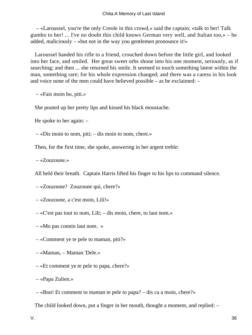– «Laroussel, you're the only Creole in this crowd,» said the captain; «talk to her! Talk gumbo to her! ... I've no doubt this child knows German very well, and Italian too,» – he added, maliciously – «but not in the way you gentlemen pronounce it!»

 Laroussel handed his rifle to a friend, crouched down before the little girl, and looked into her face, and smiled. Her great sweet orbs shone into his one moment, seriously, as if searching; and then ... she returned his smile. It seemed to touch something latent within the man, something rare; for his whole expression changed; and there was a caress in his look and voice none of the men could have believed possible – as he exclaimed: –

– «Fais moin bo, piti.»

She pouted up her pretty lips and kissed his black moustache.

He spoke to her again: –

– «Dis moin to nom, piti; – dis moin to nom, chere.»

Then, for the first time, she spoke, answering in her argent treble:

– «Zouzoune.»

All held their breath. Captain Harris lifted his finger to his lips to command silence.

– «Zouzoune? Zouzoune qui, chere?»

– «Zouzoune, a c'est moin, Lili!»

- «C'est pas tout to nom, Lili; dis moin, chere, to laut nom.»
- «Mo pas connin laut nom. »
- «Comment ye te pele to maman, piti?»
- «Maman, Maman 'Dele.»
- «Et comment ye te pele to papa, chere?»
- «Papa Zulien.»
- «Bon! Et comment to maman te pele to papa? dis ca a moin, chere?»

The child looked down, put a finger in her mouth, thought a moment, and replied: –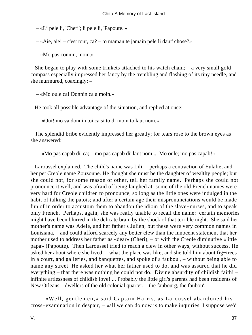– «Li pele li, 'Cheri'; li pele li, 'Papoute.'»

– «Aie, aie! – c'est tout, ca? – to maman te jamain pele li daut' chose?»

– «Mo pas connin, moin.»

 She began to play with some trinkets attached to his watch chain; – a very small gold compass especially impressed her fancy by the trembling and flashing of its tiny needle, and she murmured, coaxingly: –

– «Mo oule ca! Donnin ca a moin.»

He took all possible advantage of the situation, and replied at once: –

– «Oui! mo va donnin toi ca si to di moin to laut nom.»

 The splendid bribe evidently impressed her greatly; for tears rose to the brown eyes as she answered:

– «Mo pas capab di' ca; – mo pas capab di' laut nom ... Mo oule; mo pas capab!»

 Laroussel explained. The child's name was Lili, – perhaps a contraction of Eulalie; and her pet Creole name Zouzoune. He thought she must be the daughter of wealthy people; but she could not, for some reason or other, tell her family name. Perhaps she could not pronounce it well, and was afraid of being laughed at: some of the old French names were very hard for Creole children to pronounce, so long as the little ones were indulged in the habit of talking the patois; and after a certain age their mispronunciations would be made fun of in order to accustom them to abandon the idiom of the slave−nurses, and to speak only French. Perhaps, again, she was really unable to recall the name: certain memories might have been blurred in the delicate brain by the shock of that terrible night. She said her mother's name was Adele, and her father's Julien; but these were very common names in Louisiana, – and could afford scarcely any better clew than the innocent statement that her mother used to address her father as «dear» (Cheri), – or with the Creole diminutive «little papa» (Papoute). Then Laroussel tried to reach a clew in other ways, without success. He asked her about where she lived, – what the place was like; and she told him about fig−trees in a court, and galleries, and banquettes, and spoke of a faubou', – without being able to name any street. He asked her what her father used to do, and was assured that he did everything – that there was nothing he could not do. Divine absurdity of childish faith! – infinite artlessness of childish love! ... Probably the little girl's parents had been residents of New Orleans – dwellers of the old colonial quarter, – the faubourg, the faubou'.

 – «Well, gentlemen,» said Captain Harris, as Laroussel abandoned his cross−examination in despair, – «all we can do now is to make inquiries. I suppose we'd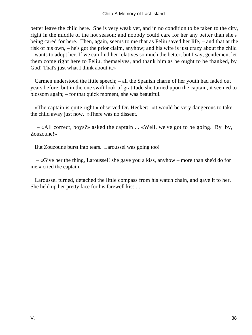better leave the child here. She is very weak yet, and in no condition to be taken to the city, right in the middle of the hot season; and nobody could care for her any better than she's being cared for here. Then, again, seems to me that as Feliu saved her life, – and that at the risk of his own, – he's got the prior claim, anyhow; and his wife is just crazy about the child – wants to adopt her. If we can find her relatives so much the better; but I say, gentlemen, let them come right here to Feliu, themselves, and thank him as he ought to be thanked, by God! That's just what I think about it.»

 Carmen understood the little speech; – all the Spanish charm of her youth had faded out years before; but in the one swift look of gratitude she turned upon the captain, it seemed to blossom again; – for that quick moment, she was beautiful.

 «The captain is quite right,» observed Dr. Hecker: «it would be very dangerous to take the child away just now. »There was no dissent.

 – «All correct, boys?» asked the captain ... «Well, we've got to be going. By−by, Zouzoune!»

But Zouzoune burst into tears. Laroussel was going too!

 – «Give her the thing, Laroussel! she gave you a kiss, anyhow – more than she'd do for me,» cried the captain.

 Laroussel turned, detached the little compass from his watch chain, and gave it to her. She held up her pretty face for his farewell kiss ...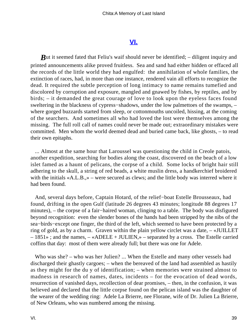#### **[VI.](#page-69-0)**

<span id="page-39-0"></span>*But* it seemed fated that Feliu's waif should never be identified; – diligent inquiry and printed announcements alike proved fruitless. Sea and sand had either hidden or effaced all the records of the little world they had engulfed: the annihilation of whole families, the extinction of races, had, in more than one instance, rendered vain all efforts to recognize the dead. It required the subtle perception of long intimacy to name remains tumefied and discolored by corruption and exposure, mangled and gnawed by fishes, by reptiles, and by birds; – it demanded the great courage of love to look upon the eyeless faces found sweltering in the blackness of cypress–shadows, under the low palmettoes of the swamps, – where gorged buzzards started from sleep, or cottonmouths uncoiled, hissing, at the coming of the searchers. And sometimes all who had loved the lost were themselves among the missing. The full roll call of names could never be made out; extraordinary mistakes were committed. Men whom the world deemed dead and buried came back, like ghosts, – to read their own epitaphs.

 ... Almost at the same hour that Laroussel was questioning the child in Creole patois, another expedition, searching for bodies along the coast, discovered on the beach of a low islet famed as a haunt of pelicans, the corpse of a child. Some locks of bright hair still adhering to the skull, a string of red beads, a white muslin dress, a handkerchief broidered with the initials «A.L.B.,» – were secured as clews; and the little body was interred where it had been found.

 And, several days before, Captain Hotard, of the relief−boat Estelle Brousseaux, had found, drifting in the open Gulf (latitude 26 degrees 43 minutes; longitude 88 degrees 17 minutes), – the corpse of a fair−haired woman, clinging to a table. The body was disfigured beyond recognition: even the slender bones of the hands had been stripped by the nibs of the sea−birds−except one finger, the third of the left, which seemed to have been protected by a ring of gold, as by a charm. Graven within the plain yellow circlet was a date, – «JUILLET – 1851» ; and the names, – «ADELE + JULIEN,» – separated by a cross. The Estelle carried coffins that day: most of them were already full; but there was one for Adele.

Who was she? – who was her Julien? ... When the Estelle and many other vessels had discharged their ghastly cargoes; – when the bereaved of the land had assembled as hastily as they might for the du y of identification; – when memories were strained almost to madness in research of names, dates, incidents – for the evocation of dead words, resurrection of vanished days, recollection of dear promises, – then, in the confusion, it was believed and declared that the little corpse found on the pelican island was the daughter of the wearer of the wedding ring: Adele La Brierre, nee Florane, wife of Dr. Julien La Brierre, of New Orleans, who was numbered among the missing.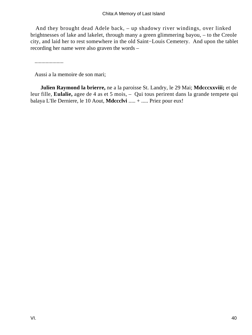And they brought dead Adele back, – up shadowy river windings, over linked brightnesses of lake and lakelet, through many a green glimmering bayou, – to the Creole city, and laid her to rest somewhere in the old Saint−Louis Cemetery. And upon the tablet recording her name were also graven the words –

.....................

Aussi a la memoire de son mari;

**Julien Raymond la brierre,** ne a la paroisse St. Landry, le 29 Mai; **Mdcccxxviii;** et de leur fille, **Eulalie,** agee de 4 as et 5 mois, – Qui tous perirent dans la grande tempete qui balaya L'Ile Derniere, le 10 Aout, **Mdccclvi** ..... + ..... Priez pour eux!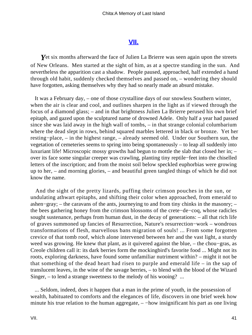#### **[VII.](#page-69-0)**

<span id="page-41-0"></span>**Y**et six months afterward the face of Julien La Brierre was seen again upon the streets of New Orleans. Men started at the sight of him, as at a spectre standing in the sun. And nevertheless the apparition cast a shadow. People paused, approached, half extended a hand through old habit, suddenly checked themselves and passed on, – wondering they should have forgotten, asking themselves why they had so nearly made an absurd mistake.

 It was a February day, – one of those crystalline days of our snowless Southern winter, when the air is clear and cool, and outlines sharpen in the light as if viewed through the focus of a diamond glass; – and in that brightness Julien La Brierre perused his own brief epitaph, and gazed upon the sculptured name of drowned Adele. Only half a year had passed since she was laid away in the high wall of tombs, – in that strange colonial columbarium where the dead slept in rows, behind squared marbles lettered in black or bronze. Yet her resting−place, – in the highest range, – already seemed old. Under our Southern sun, the vegetation of cemeteries seems to spring into being spontaneously – to leap all suddenly into luxuriant life! Microscopic mossy growths had begun to mottle the slab that closed her in; – over its face some singular creeper was crawling, planting tiny reptile−feet into the chiselled letters of the inscription; and from the moist soil below speckled euphorbias were growing up to her, – and morning glories, – and beautiful green tangled things of which he did not know the name.

 And the sight of the pretty lizards, puffing their crimson pouches in the sun, or undulating athwart epitaphs, and shifting their color when approached, from emerald to ashen−gray; – the caravans of the ants, journeying to and from tiny chinks in the masonry; – the bees gathering honey from the crimson blossoms of the crete−de−coq, whose radicles sought sustenance, perhaps from human dust, in the decay of generations: – all that rich life of graves summoned up fancies of Resurrection, Nature's resurrection−work – wondrous transformations of flesh, marvellous bans migration of souls! ... From some forgotten crevice of that tomb roof, which alone intervened between her and the vast light, a sturdy weed was growing. He knew that plant, as it quivered against the blue, – the chou−gras, as Creole children call it: its dark berries form the mockingbird's favorite food ... Might not its roots, exploring darkness, have found some unfamiliar nutriment within? – might it not be that something of the dead heart had risen to purple and emerald life – in the sap of translucent leaves, in the wine of the savage berries, – to blend with the blood of the Wizard Singer, – to lend a strange sweetness to the melody of his wooing? ...

 ... Seldom, indeed, does it happen that a man in the prime of youth, in the possession of wealth, habituated to comforts and the elegances of life, discovers in one brief week how minute his true relation to the human aggregate, – –how insignificant his part as one living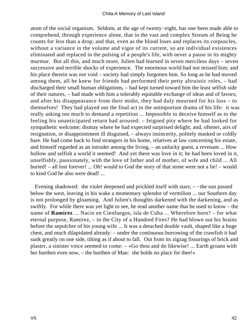atom of the social organism. Seldom, at the age of twenty−eight, has one been made able to comprehend, through experience alone, that in the vast and complex Stream of Being he counts for less than a drop; and that, even as the blood loses and replaces its corpuscles, without a variance in the volume and vigor of its current, so are individual existences eliminated and replaced in the pulsing of a people's life, with never a pause in its mighty murmur. But all this, and much more, Julien had learned in seven merciless days – seven successive and terrible shocks of experience. The enormous world had not missed him; and his place therein was not void – society had simply forgotten him. So long as he had moved among them, all he knew for friends had performed their petty altruistic roles, – had discharged their small human obligations, – had kept turned toward him the least selfish side of their natures, – had made with him a tolerably equitable exchange of ideas and of favors; and after his disappearance from their midst, they had duly mourned for his loss – to themselves! They had played out the final act in the unimportant drama of his life: it was really asking too much to demand a repetition ... Impossible to deceive himself as to the feeling his unanticipated return had aroused: – feigned pity where he had looked for sympathetic welcome; dismay where he had expected surprised delight; and, oftener, airs of resignation, or disappointment ill disguised, – always insincerity, politely masked or coldly bare. He had come back to find strangers in his home, relatives at law concerning his estate, and himself regarded as an intruder among the living, – an unlucky guest, a revenant ... How hollow and selfish a world it seemed! And yet there was love in it; he had been loved in it, unselfishly, passionately, with the love of father and of mother, of wife and child ... All buried! – all lost forever! ... Oh! would to God the story of that stone were not a lie! – would to kind God he also were dead! ...

 Evening shadowed: the violet deepened and prickled itself with stars; – −the sun passed below the west, leaving in his wake a momentary splendor of vermilion ... our Southern day is not prolonged by gloaming. And Julien's thoughts darkened with the darkening, and as swiftly. For while there was yet light to see, he read another name that he used to know – the name of **Ramirez** ... Nacio en Cienfuegos, isla de Cuba ... Wherefore born? – for what eternal purpose, Ramirez, – in the City of a Hundred Fires? He had blown out his brains before the sepulchre of his young wife ... It was a detached double vault, shaped like a huge chest, and much dilapidated already: – under the continuous burrowing of the crawfish it had sunk greatly on one side, tilting as if about to fall. Out from its zigzag fissurings of brick and plaster, a sinister voice seemed to come: – «Go thou and do likewise! ... Earth groans with her burthen even now, – the burthen of Man: she holds no place for thee!»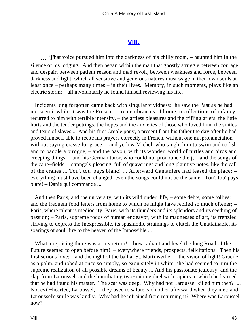### **[VIII.](#page-69-0)**

<span id="page-43-0"></span>**...** That voice pursued him into the darkness of his chilly room, – haunted him in the silence of his lodging. And then began within the man that ghostly struggle between courage and despair, between patient reason and mad revolt, between weakness and force, between darkness and light, which all sensitive and generous natures must wage in their own souls at least once – perhaps many times – in their lives. Memory, in such moments, plays like an electric storm; – all involuntarily he found himself reviewing his life.

 Incidents long forgotten came back with singular vividness: he saw the Past as he had not seen it while it was the Present; – remembrances of home, recollections of infancy, recurred to him with terrible intensity, – the artless pleasures and the trifling griefs, the little hurts and the tender pettings, the hopes and the anxieties of those who loved him, the smiles and tears of slaves ... And his first Creole pony, a present from his father the day after he had proved himself able to recite his prayers correctly in French, without one mispronunciation – without saying crasse for grace, – and yellow Michel, who taught him to swim and to fish and to paddle a pirogue; – and the bayou, with its wonder−world of turtles and birds and creeping things; – and his German tutor, who could not pronounce the j; – and the songs of the cane−fields, – strangely pleasing, full of quaverings and long plaintive notes, like the call of the cranes ... Tou', tou' pays blanc! ... Afterward Camaniere had leased the place; – everything must have been changed; even the songs could not be the same. Tou', tou' pays blare! – Danie qui commande ...

 And then Paris; and the university, with its wild under−life, – some debts, some follies; and the frequent fond letters from home to which he might have replied so much oftener; – Paris, where talent is mediocrity; Paris, with its thunders and its splendors and its seething of passion; – Paris, supreme focus of human endeavor, with its madnesses of art, its frenzied striving to express the Inexpressible, its spasmodic strainings to clutch the Unattainable, its soarings of soul−fire to the heaven of the Impossible ...

What a rejoicing there was at his return! – how radiant and level the long Road of the Future seemed to open before him! – everywhere friends, prospects, felicitations. Then his first serious love; – and the night of the ball at St. Martinsville, – the vision of light! Gracile as a palm, and robed at once so simply, so exquisitely in white, she had seemed to him the supreme realization of all possible dreams of beauty ... And his passionate jealousy; and the slap from Laroussel; and the humiliating two−minute duel with rapiers in which he learned that he had found his master. The scar was deep. Why had not Laroussel killed him then? ... Not evil−hearted, Laroussel, – they used to salute each other afterward when they met; and Laroussel's smile was kindly. Why had he refrained from returning it? Where was Laroussel now?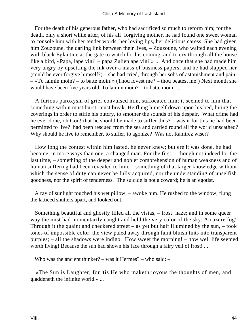#### Chita:A Memory of Last Island

 For the death of his generous father, who had sacrificed so much to reform him; for the death, only a short while after, of his all−forgiving mother, he had found one sweet woman to console him with her tender words, her loving lips, her delicious caress. She had given him Zouzoune, the darling link between their lives,  $-$  Zouzoune, who waited each evening with black Eglantine at the gate to watch for his coming, and to cry through all the house like a bird, «Papa, lape vini! – papa Zulien ape vini!» ... And once that she had made him very angry by upsetting the ink over a mass of business papers, and he had slapped her (could he ever forgive himself?) – she had cried, through her sobs of astonishment and pain: – «To laimin moin? – to batte moin!» (Thou lovest me? – thou beatest me!) Next month she would have been five years old. To laimin moin? – to batte moin! ...

 A furious paroxysm of grief convulsed him, suffocated him; it seemed to him that something within must burst, must break. He flung himself down upon his bed, biting the coverings in order to stifle his outcry, to smother the sounds of his despair. What crime had he ever done, oh God! that he should be made to suffer thus? – was it for this he had been permitted to live? had been rescued from the sea and carried round all the world unscathed? Why should he live to remember, to suffer, to agonize? Was not Ramirez wiser?

 How long the contest within him lasted, he never knew; but ere it was done, he had become, in more ways than one, a changed man. For the first, – though not indeed for the last time, – something of the deeper and nobler comprehension of human weakness and of human suffering had been revealed to him, – something of that larger knowledge without which the sense of duty can never be fully acquired, nor the understanding of unselfish goodness, nor the spirit of tenderness. The suicide is not a coward; he is an egotist.

 A ray of sunlight touched his wet pillow, – awoke him. He rushed to the window, flung the latticed shutters apart, and looked out.

 Something beautiful and ghostly filled all the vistas, – frost−haze; and in some queer way the mist had momentarily caught and held the very color of the sky. An azure fog! Through it the quaint and checkered street – as yet but half illumined by the sun,  $-$  took tones of impossible color; the view paled away through faint bluish tints into transparent purples; – all the shadows were indigo. How sweet the morning! – how well life seemed worth living! Because the sun had shown his face through a fairy veil of frost! ...

Who was the ancient thinker? – was it Hermes? – who said: –

 «The Sun is Laughter; for 'tis He who maketh joyous the thoughts of men, and gladdeneth the infinite world.» ...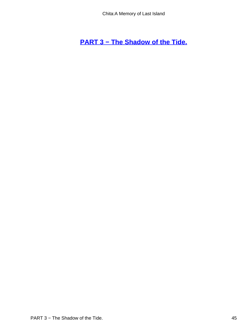<span id="page-45-0"></span>**[PART 3 − The Shadow of the Tide.](#page-69-0)**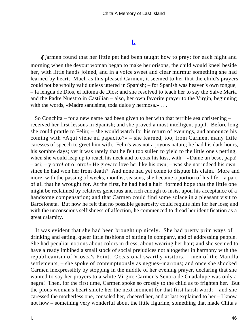## **[I.](#page-69-0)**

<span id="page-46-0"></span>*C*armen found that her little pet had been taught how to pray; for each night and morning when the devout woman began to make her orisons, the child would kneel beside her, with little hands joined, and in a voice sweet and clear murmur something she had learned by heart. Much as this pleased Carmen, it seemed to her that the child's prayers could not be wholly valid unless uttered in Spanish; – for Spanish was heaven's own tongue, – la lengua de Dios, el idioma de Dios; and she resolved to teach her to say the Salve Maria and the Padre Nuestro in Castilian – also, her own favorite prayer to the Virgin, beginning with the words, «Madre santisima, toda dulce y hermosa.» . . .

 So Conchita – for a new name had been given to her with that terrible sea christening – received her first lessons in Spanish; and she proved a most intelligent pupil. Before long she could prattle to Feliu; – she would watch for his return of evenings, and announce his coming with «Aqui viene mi papacito?» – she learned, too, from Carmen, many little caresses of speech to greet him with. Feliu's was not a joyous nature; he had his dark hours, his sombre days; yet it was rarely that he felt too sullen to yield to the little one's petting, when she would leap up to reach his neck and to coax his kiss, with – «Dame un beso, papa! – asi; – y otro! otro! otro!» He grew to love her like his own; – was she not indeed his own, since he had won her from death? And none had yet come to dispute his claim. More and more, with the passing of weeks, months, seasons, she became a portion of his life – a part of all that he wrought for. At the first, he had had a half−formed hope that the little one might be reclaimed by relatives generous and rich enough to insist upon his acceptance of a handsome compensation; and that Carmen could find some solace in a pleasant visit to Barceloneta. But now he felt that no possible generosity could requite him for her loss; and with the unconscious selfishness of affection, he commenced to dread her identification as a great calamity.

 It was evident that she had been brought up nicely. She had pretty prim ways of drinking and eating, queer little fashions of sitting in company, and of addressing people. She had peculiar notions about colors in dress, about wearing her hair; and she seemed to have already imbibed a small stock of social prejudices not altogether in harmony with the republicanism of Viosca's Point. Occasional swarthy visitors, – men of the Manilla settlements, – she spoke of contemptuously as negues−marrons; and once she shocked Carmen inexpressibly by stopping in the middle of her evening prayer, declaring that she wanted to say her prayers to a white Virgin; Carmen's Senora de Guadalupe was only a negra! Then, for the first time, Carmen spoke so crossly to the child as to frighten her. But the pious woman's heart smote her the next moment for that first harsh word; – and she caressed the motherless one, consoled her, cheered her, and at last explained to her – I know not how – something very wonderful about the little figurine, something that made Chita's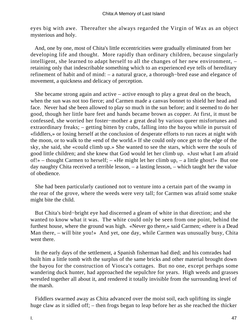eyes big with awe. Thereafter she always regarded the Virgin of Wax as an object mysterious and holy.

 And, one by one, most of Chita's little eccentricities were gradually eliminated from her developing life and thought. More rapidly than ordinary children, because singularly intelligent, she learned to adapt herself to all the changes of her new environment, – retaining only that indescribable something which to an experienced eye tells of hereditary refinement of habit and of mind: – a natural grace, a thorough−bred ease and elegance of movement, a quickness and delicacy of perception.

 She became strong again and active – active enough to play a great deal on the beach, when the sun was not too fierce; and Carmen made a canvas bonnet to shield her head and face. Never had she been allowed to play so much in the sun before; and it seemed to do her good, though her little bare feet and hands became brown as copper. At first, it must be confessed, she worried her foster−mother a great deal by various queer misfortunes and extraordinary freaks; – getting bitten by crabs, falling into the bayou while in pursuit of «fiddlers,» or losing herself at the conclusion of desperate efforts to run races at night with the moon, or to walk to the «end of the world.» If she could only once get to the edge of the sky, she said, she «could climb up.» She wanted to see the stars, which were the souls of good little children; and she knew that God would let her climb up. «Just what I am afraid of!» – thought Carmen to herself; – «He might let her climb up, – a little ghost!» But one day naughty Chita received a terrible lesson, – a lasting lesson, – which taught her the value of obedience.

 She had been particularly cautioned not to venture into a certain part of the swamp in the rear of the grove, where the weeds were very tall; for Carmen was afraid some snake might bite the child.

 But Chita's bird−bright eye had discerned a gleam of white in that direction; and she wanted to know what it was. The white could only be seen from one point, behind the furthest house, where the ground was high. «Never go there,» said Carmen; «there is a Dead Man there, – will bite you!» And yet, one day, while Carmen was unusually busy, Chita went there.

 In the early days of the settlement, a Spanish fisherman had died; and his comrades had built him a little tomb with the surplus of the same bricks and other material brought down the bayou for the construction of Viosca's cottages. But no one, except perhaps some wandering duck hunter, had approached the sepulchre for years. High weeds and grasses wrestled together all about it, and rendered it totally invisible from the surrounding level of the marsh.

 Fiddlers swarmed away as Chita advanced over the moist soil, each uplifting its single huge claw as it sidled off; – then frogs began to leap before her as she reached the thicker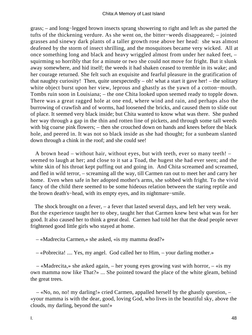grass; – and long−legged brown insects sprang showering to right and left as she parted the tufts of the thickening verdure. As she went on, the bitter−weeds disappeared; – jointed grasses and sinewy dark plants of a taller growth rose above her head: she was almost deafened by the storm of insect shrilling, and the mosquitoes became very wicked. All at once something long and black and heavy wriggled almost from under her naked feet, – squirming so horribly that for a minute or two she could not move for fright. But it slunk away somewhere, and hid itself; the weeds it had shaken ceased to tremble in its wake; and her courage returned. She felt such an exquisite and fearful pleasure in the gratification of that naughty curiosity! Then, quite unexpectedly  $-$  oh! what a start it gave her!  $-$  the solitary white object burst upon her view, leprous and ghastly as the yawn of a cotton−mouth. Tombs ruin soon in Louisiana; – the one Chita looked upon seemed ready to topple down. There was a great ragged hole at one end, where wind and rain, and perhaps also the burrowing of crawfish and of worms, had loosened the bricks, and caused them to slide out of place. It seemed very black inside; but Chita wanted to know what was there. She pushed her way through a gap in the thin and rotten line of pickets, and through some tall weeds with big coarse pink flowers; – then she crouched down on hands and knees before the black hole, and peered in. It was not so black inside as she had thought; for a sunbeam slanted down through a chink in the roof; and she could see!

 A brown head – without hair, without eyes, but with teeth, ever so many teeth! – seemed to laugh at her; and close to it sat a Toad, the hugest she had ever seen; and the white skin of his throat kept puffing out and going in. And Chita screamed and screamed, and fled in wild terror, – screaming all the way, till Carmen ran out to meet her and carry her home. Even when safe in her adopted mother's arms, she sobbed with fright. To the vivid fancy of the child there seemed to be some hideous relation between the staring reptile and the brown death's−head, with its empty eyes, and its nightmare−smile.

 The shock brought on a fever, – a fever that lasted several days, and left her very weak. But the experience taught her to obey, taught her that Carmen knew best what was for her good. It also caused her to think a great deal. Carmen had told her that the dead people never frightened good little girls who stayed at home.

– «Madrecita Carmen,» she asked, «is my mamma dead?»

– «Pobrecita! .... Yes, my angel. God called her to Him, – your darling mother.»

 – «Madrecita,» she asked again, – her young eyes growing vast with horror, – «is my own mamma now like That?» ... She pointed toward the place of the white gleam, behind the great trees.

 – «No, no, no! my darling!» cried Carmen, appalled herself by the ghastly question, – «your mamma is with the dear, good, loving God, who lives in the beautiful sky, above the clouds, my darling, beyond the sun!»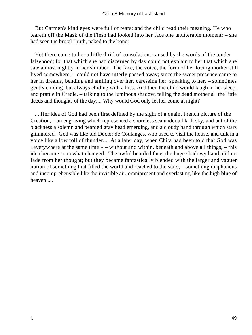But Carmen's kind eyes were full of tears; and the child read their meaning. He who teareth off the Mask of the Flesh had looked into her face one unutterable moment: – she had seen the brutal Truth, naked to the bone!

 Yet there came to her a little thrill of consolation, caused by the words of the tender falsehood; for that which she had discerned by day could not explain to her that which she saw almost nightly in her slumber. The face, the voice, the form of her loving mother still lived somewhere, – could not have utterly passed away; since the sweet presence came to her in dreams, bending and smiling over her, caressing her, speaking to her, – sometimes gently chiding, but always chiding with a kiss. And then the child would laugh in her sleep, and prattle in Creole, – talking to the luminous shadow, telling the dead mother all the little deeds and thoughts of the day.... Why would God only let her come at night?

 ... Her idea of God had been first defined by the sight of a quaint French picture of the Creation, – an engraving which represented a shoreless sea under a black sky, and out of the blackness a solemn and bearded gray head emerging, and a cloudy hand through which stars glimmered. God was like old Doctor de Coulanges, who used to visit the house, and talk in a voice like a low roll of thunder.... At a later day, when Chita had been told that God was «everywhere at the same time » – without and within, beneath and above all things, – this idea became somewhat changed. The awful bearded face, the huge shadowy hand, did not fade from her thought; but they became fantastically blended with the larger and vaguer notion of something that filled the world and reached to the stars, – something diaphanous and incomprehensible like the invisible air, omnipresent and everlasting like the high blue of heaven ....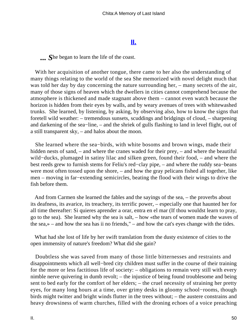#### **[II.](#page-69-0)**

<span id="page-50-0"></span>*... S*he began to learn the life of the coast.

 With her acquisition of another tongue, there came to her also the understanding of many things relating to the world of the sea She memorized with novel delight much that was told her day by day concerning the nature surrounding her, – many secrets of the air, many of those signs of heaven which the dwellers in cities cannot comprehend because the atmosphere is thickened and made stagnant above them – cannot even watch because the horizon is hidden from their eyes by walls, and by weary avenues of trees with whitewashed trunks. She learned, by listening, by asking, by observing also, how to know the signs that foretell wild weather: – tremendous sunsets, scuddings and bridgings of cloud, – sharpening and darkening of the sea−line, – and the shriek of gulls flashing to land in level flight, out of a still transparent sky, – and halos about the moon.

 She learned where the sea−birds, with white bosoms and brown wings, made their hidden nests of sand, – and where the cranes waded for their prey, – and where the beautiful wild−ducks, plumaged in satiny lilac and silken green, found their food, – and where the best reeds grew to furnish stems for Feliu's red−clay pipe, – and where the ruddy sea−beans were most often tossed upon the shore, – and how the gray pelicans fished all together, like men – moving in far−extending semicircles, beating the flood with their wings to drive the fish before them.

 And from Carmen she learned the fables and the sayings of the sea, – the proverbs about its deafness, its avarice, its treachery, its terrific power, – especially one that haunted her for all time thereafter: Si quieres aprender a orar, entra en el mar (If thou wouldst learn to pray, go to the sea). She learned why the sea is salt, – how «the tears of women made the waves of the sea,» – and how the sea has ii no friends," – and how the cat's eyes change with the tides.

 What had she lost of life by her swift translation from the dusty existence of cities to the open immensity of nature's freedom? What did she gain?

 Doubtless she was saved from many of those little bitternesses and restraints and disappointments which all well−bred city children must suffer in the course of their training for the more or less factitious life of society: – obligations to remain very still with every nimble nerve quivering in dumb revolt; – the injustice of being found troublesome and being sent to bed early for the comfort of her elders; – the cruel necessity of straining her pretty eyes, for many long hours at a time, over grimy desks in gloomy school−rooms, though birds might twitter and bright winds flutter in the trees without; – the austere constrains and heavy drowsiness of warm churches, filled with the droning echoes of a voice preaching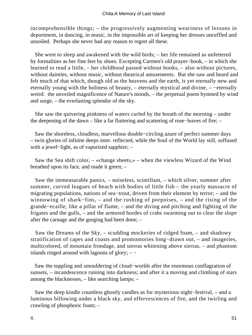incomprehensible things; – the progressively augmenting weariness of lessons in deportment, in dancing, in music, in the impossible art of keeping her dresses unruffled and unsoiled. Perhaps she never had any reason to regret all these.

 She went to sleep and awakened with the wild birds; – her life remained as unfettered by formalities as her fine feet by shoes. Excepting Carmen's old prayer−book, – in which she learned to read a little, – her childhood passed without books, – also without pictures, without dainties, without music, without theatrical amusements. But she saw and heard and felt much of that which, though old as the heavens and the earth, is yet eternally new and eternally young with the holiness of beauty, – eternally mystical and divine, – −eternally weird: the unveiled magnificence of Nature's moods, – the perpetual poem hymned by wind and surge, – the everlasting splendor of the sky.

 She saw the quivering pinkness of waters curled by the breath of the morning – under the deepening of the dawn – like a far fluttering and scattering of rose−leaves of fire; –

 Saw the shoreless, cloudless, marvellous double−circling azure of perfect summer days – twin glories of infinite deeps inter. reflected, while the Soul of the World lay still, suffused with a jewel−light, as of vaporized sapphire; –

 Saw the Sea shift color, – «change sheets,» – when the viewless Wizard of the Wind breathed upon its face, and made it green; –

 Saw the immeasurable panics, – noiseless, scintillant, – which silver, summer after summer, curved leagues of beach with bodies of little fish – the yearly massacre of migrating populations, nations of sea−trout, driven from their element by terror; – and the winnowing of shark−fins, – and the rushing of porpoises, – and the rising of the grande−ecaille, like a pillar of flame, – and the diving and pitching and fighting of the frigates and the gulls, – and the armored hordes of crabs swarming out to clear the slope after the carnage and the gorging had been done; –

 Saw the Dreams of the Sky, – scudding mockeries of ridged foam, – and shadowy stratification of capes and coasts and promontories long−drawn out, – and imageries, multicolored, of mountain frondage, and sierras whitening above sierras, – and phantom islands ringed around with lagoons of glory;  $-$  –

 Saw the toppling and smouldering of cloud−worlds after the enormous conflagration of sunsets, – incandescence ruining into darkness; and after it a moving and climbing of stars among the blacknesses, – like searching lamps; –

 Saw the deep kindle countless ghostly candles as for mysterious night−festival, – and a luminous billowing under a black sky, and effervescences of fire, and the twirling and crawling of phosphoric foam; –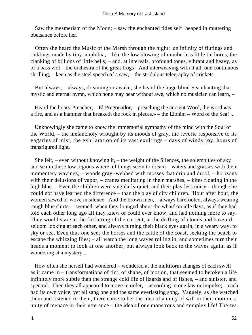Saw the mesmerism of the Moon; – saw the enchanted tides self−heaped in muttering obeisance before her.

 Often she heard the Music of the Marsh through the night: an infinity of flutings and tinklings made by tiny amphibia, – like the low blowing of numberless little tin horns, the clanking of billions of little bells; – and, at intervals, profound tones, vibrant and heavy, as of a bass viol – the orchestra of the great frogs! And interweaving with it all, one continuous shrilling, – keen as the steel speech of a saw, – the stridulous telegraphy of crickets.

 But always, – always, dreaming or awake, she heard the huge blind Sea chanting that mystic and eternal hymn, which none may hear without awe, which no musician can learn, –

 Heard the hoary Preacher, – El Pregonador, – preaching the ancient Word, the word «as a fire, and as a hammer that breaketh the rock in pieces,» – the Elohim – Word of the Sea! ...

 Unknowingly she came to know the immemorial sympathy of the mind with the Soul of the World, – the melancholy wrought by its moods of gray, the reverie responsive to its vagaries of mist, the exhilaration of its vast exultings – days of windy joy, hours of transfigured light.

She felt, – even without knowing it, – the weight of the Silences, the solemnities of sky and sea in these low regions where all things seem to dream – waters and grasses with their momentary wavings, – woods gray−webbed with mosses that drip and drool, – horizons with their delusions of vapor, – cranes meditating in their marshes, – kites floating in the high blue.... Even the children were singularly quiet; and their play less noisy – though she could not have learned the difference – than the play of city children. Hour after hour, the women sewed or wove in silence. And the brown men, – always barefooted, always wearing rough blue shirts, – seemed, when they lounged about the wharf on idle days, as if they had told each other long ago all they knew or could ever know, and had nothing more to say. They would stare at the flickering of the current, at the drifting of clouds and buzzard: – seldom looking at each other, and always turning their black eyes again, in a weary way, to sky or sea. Even thus one sees the horses and the cattle of the coast, seeking the beach to escape the whizzing flies; – all watch the long waves rolling in, and sometimes turn their heads a moment to look at one another, but always look back to the waves again, as if wondering at a mystery....

 How often she herself had wondered – wondered at the multiform changes of each swell as it came in – transformations of tint, of shape, of motion, that seemed to betoken a life infinitely more subtle than the strange cold life of lizards and of fishes, – and sinister, and spectral. Then they all appeared to move in order, – according to one law or impulse; – each had its own voice, yet all sang one and the same everlasting song. Vaguely, as she watched them and listened to them, there came to her the idea of a unity of will in their motion, a unity of menace in their utterance – the idea of one monstrous and complex life! The sea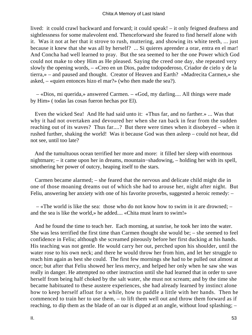lived: it could crawl backward and forward; it could speak! – it only feigned deafness and sightlessness for some malevolent end. Thenceforward she feared to find herself alone with it. Was it not at her that it strove to rush, muttering, and showing its white teeth, ... just because it knew that she was all by herself? ... Si quieres aprender a orar, entra en el mar! And Concha had well learned to pray. But the sea seemed to her the one Power which God could not make to obey Him as He pleased. Saying the creed one day, she repeated very slowly the opening words, – «Creo en un Dios, padre todopoderoso, Criador de cielo y de la tierra,» – and paused and thought. Creator of Heaven and Earth? «Madrecita Carmen,» she asked, – «quien entonces hizo el mar?» (who then made the sea?).

 – «Dios, mi querida,» answered Carmen. – «God, my darling.... All things were made by Him» ( todas las cosas fueron hechas por El).

 Even the wicked Sea! And He had said unto it: «Thus far, and no farther.» ... Was that why it had not overtaken and devoured her when she ran back in fear from the sudden reaching out of its waves? Thus far....? But there were times when it disobeyed – when it rushed further, shaking the world! Was it because God was then asleep – could not hear, did not see, until too late?

 And the tumultuous ocean terrified her more and more: it filled her sleep with enormous nightmare; – it came upon her in dreams, mountain−shadowing, – holding her with its spell, smothering her power of outcry, heaping itself to the stars.

 Carmen became alarmed; – she feared that the nervous and delicate child might die in one of those moaning dreams out of which she had to arouse her, night after night. But Feliu, answering her anxiety with one of his favorite proverbs, suggested a heroic remedy: –

 – «The world is like the sea: those who do not know how to swim in it are drowned; – and the sea is like the world,» he added.... «Chita must learn to swim!»

 And he found the time to teach her. Each morning, at sunrise, he took her into the water. She was less terrified the first time than Carmen thought she would be; – she seemed to feel confidence in Feliu; although she screamed piteously before her first ducking at his hands. His teaching was not gentle. He would carry her out, perched upon his shoulder, until the water rose to his own neck; and there he would throw her from him, and let her struggle to reach him again as best she could. The first few mornings she had to be pulled out almost at once; but after that Feliu showed her less mercy, and helped her only when he saw she was really in danger. He attempted no other instruction until she had learned that in order to save herself from being half choked by the salt water, she must not scream; and by the time she became habituated to these austere experiences, she had already learned by instinct alone how to keep herself afloat for a while, how to paddle a little with her hands. Then he commenced to train her to use them, – to lift them well out and throw them forward as if reaching, to dip them as the blade of an oar is dipped at an angle, without loud splashing; –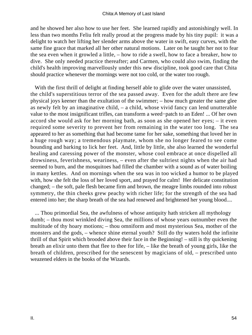#### Chita:A Memory of Last Island

and he showed her also how to use her feet. She learned rapidly and astonishingly well. In less than two months Feliu felt really proud at the progress made by his tiny pupil: it was a delight to watch her lifting her slender arms above the water in swift, easy curves, with the same fine grace that marked all her other natural motions. Later on he taught her not to fear the sea even when it growled a little, – how to ride a swell, how to face a breaker, how to dive. She only needed practice thereafter; and Carmen, who could also swim, finding the child's health improving marvellously under this new discipline, took good care that Chita should practice whenever the mornings were not too cold, or the water too rough.

With the first thrill of delight at finding herself able to glide over the water unassisted, the child's superstitious terror of the sea passed away. Even for the adult there are few physical joys keener than the exultation of the swimmer; – how much greater the same glee as newly felt by an imaginative child, – a child, whose vivid fancy can lend unutterable value to the most insignificant trifles, can transform a weed−patch to an Eden! ... Of her own accord she would ask for her morning bath, as soon as she opened her eyes; – it even required some severity to prevent her from remaining in the water too long. The sea appeared to her as something that had become tame for her sake, something that loved her in a huge rough way; a tremendous playmate, whom she no longer feared to see come bounding and barking to lick her feet. And, little by little, she also learned the wonderful healing and caressing power of the monster, whose cool embrace at once dispelled all drowsiness, feverishness, weariness, – even after the sultriest nights when the air had seemed to burn, and the mosquitoes had filled the chamber with a sound as of water boiling in many kettles. And on mornings when the sea was in too wicked a humor to be played with, how she felt the loss of her loved sport, and prayed for calm! Her delicate constitution changed; – the soft, pale flesh became firm and brown, the meagre limbs rounded into robust symmetry, the thin cheeks grew peachy with richer life; for the strength of the sea had entered into her; the sharp breath of the sea had renewed and brightened her young blood....

 ... Thou primordial Sea, the awfulness of whose antiquity hath stricken all mythology dumb; – thou most wrinkled diving Sea, the millions of whose years outnumber even the multitude of thy hoary motions; – thou omniform and most mysterious Sea, mother of the monsters and the gods, – whence shine eternal youth? Still do thy waters hold the infinite thrill of that Spirit which brooded above their face in the Beginning! – still is thy quickening breath an elixir unto them that flee to thee for life, – like the breath of young girls, like the breath of children, prescribed for the senescent by magicians of old, – prescribed unto weazened elders in the books of the Wizards.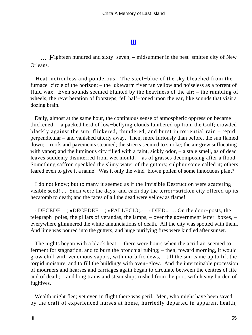#### **[III](#page-70-0)**

<span id="page-55-0"></span>*... E*ighteen hundred and sixty−seven; – midsummer in the pest−smitten city of New Orleans.

 Heat motionless and ponderous. The steel−blue of the sky bleached from the furnace−circle of the horizon; – the lukewarm river ran yellow and noiseless as a torrent of fluid wax. Even sounds seemed blunted by the heaviness of the air; – the rumbling of wheels, the reverberation of footsteps, fell half−toned upon the ear, like sounds that visit a dozing brain.

 Daily, almost at the same hour, the continuous sense of atmospheric oppression became thickened; – a packed herd of low−bellying clouds lumbered up from the Gulf; crowded blackly against the sun; flickered, thundered, and burst in torrential rain – tepid, perpendicular – and vanished utterly away. Then, more furiously than before, the sun flamed down; – roofs and pavements steamed; the streets seemed to smoke; the air grew suffocating with vapor; and the luminous city filled with a faint, sickly odor, – a stale smell, as of dead leaves suddenly disinterred from wet mould, – as of grasses decomposing after a flood. Something saffron speckled the slimy water of the gutters; sulphur some called it; others feared even to give it a name! Was it only the wind−blown pollen of some innocuous plant?

 I do not know; but to many it seemed as if the Invisible Destruction were scattering visible seed! ... Such were the days; and each day the terror−stricken city offered up its hecatomb to death; and the faces of all the dead were yellow as flame!

 «DECEDE – ; »DECEDEE – ; «FALLECIO;» – «DIED.» ... On the door−posts, the telegraph−poles, the pillars of verandas, the lamps, – over the government letter−boxes, – everywhere glimmered the white annunciations of death. All the city was spotted with them. And lime was poured into the gutters; and huge purifying fires were kindled after sunset.

 The nights began with a black heat; – there were hours when the acrid air seemed to ferment for stagnation, and to burn the bronchial tubing; – then, toward morning, it would grow chill with venomous vapors, with morbific dews, – till the sun came up to lift the torpid moisture, and to fill the buildings with oven−glow. And the interminable procession of mourners and hearses and carriages again began to circulate between the centres of life and of death; – and long trains and steamships rushed from the port, with heavy burden of fugitives.

 Wealth might flee; yet even in flight there was peril. Men, who might have been saved by the craft of experienced nurses at home, hurriedly departed in apparent health,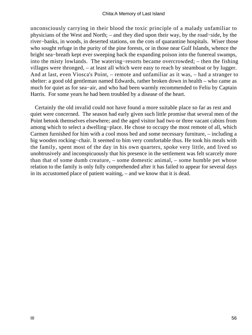unconsciously carrying in their blood the toxic principle of a malady unfamiliar to physicians of the West and North; – and they died upon their way, by the road−side, by the river−banks, in woods, in deserted stations, on the cots of quarantine hospitals. Wiser those who sought refuge in the purity of the pine forests, or in those near Gulf Islands, whence the bright sea−breath kept ever sweeping back the expanding poison into the funereal swamps, into the misty lowlands. The watering−resorts became overcrowded; – then the fishing villages were thronged, – at least all which were easy to reach by steamboat or by lugger. And at last, even Viosca's Point, – remote and unfamiliar as it was, – had a stranger to shelter: a good old gentleman named Edwards, rather broken down in health – who came as much for quiet as for sea−air, and who had been warmly recommended to Feliu by Captain Harris. For some years he had been troubled by a disease of the heart.

 Certainly the old invalid could not have found a more suitable place so far as rest and quiet were concerned. The season had early given such little promise that several men of the Point betook themselves elsewhere; and the aged visitor had two or three vacant cabins from among which to select a dwelling−place. He chose to occupy the most remote of all, which Carmen furnished for him with a cool moss bed and some necessary furniture, – including a big wooden rocking−chair. It seemed to him very comfortable thus. He took his meals with the family, spent most of the day in his own quarters, spoke very little, and lived so unobtrusively and inconspicuously that his presence in the settlement was felt scarcely more than that of some dumb creature, – some domestic animal, – some humble pet whose relation to the family is only fully comprehended after it has failed to appear for several days in its accustomed place of patient waiting, – and we know that it is dead.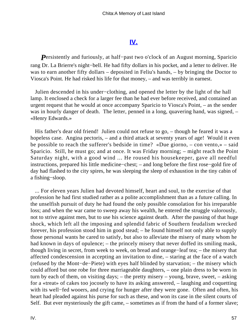### **[IV.](#page-70-0)**

<span id="page-57-0"></span>*Persistently and furiously, at half−past two o'clock of an August morning, Sparicio* rang Dr. La Brierre's night−bell. He had fifty dollars in his pocket, and a letter to deliver. He was to earn another fifty dollars – deposited in Feliu's hands, – by bringing the Doctor to Viosca's Point. He had risked his life for that money, – and was terribly in earnest.

 Julien descended in his under−clothing, and opened the letter by the light of the hall lamp. It enclosed a check for a larger fee than he had ever before received, and contained an urgent request that he would at once accompany Sparicio to Viosca's Point, – as the sender was in hourly danger of death. The letter, penned in a long, quavering hand, was signed, – «Henry Edwards.»

 His father's dear old friend! Julien could not refuse to go, – though he feared it was a hopeless case. Angina pectoris, – and a third attack at seventy years of age! Would it even be possible to reach the sufferer's bedside in time? «Due giorno, – con vento,» – said Sparicio. Still, he must go; and at once. It was Friday morning; – might reach the Point Saturday night, with a good wind ... He roused his housekeeper, gave all needful instructions, prepared his little medicine−chest; – and long before the first rose−gold fire of day had flashed to the city spires, he was sleeping the sleep of exhaustion in the tiny cabin of a fishing−sloop.

 ... For eleven years Julien had devoted himself, heart and soul, to the exercise of that profession he had first studied rather as a polite accomplishment than as a future calling. In the unselfish pursuit of duty he had found the only possible consolation for his irreparable loss; and when the war came to sweep away his wealth, he entered the struggle valorously, not to strive against men, but to use his science against death. After the passing of that huge shock, which left all the imposing and splendid fabric of Southern feudalism wrecked forever, his profession stood him in good stead; – he found himself not only able to supply those personal wants he cared to satisfy, but also to alleviate the misery of many whom he had known in days of opulence; – the princely misery that never doffed its smiling mask, though living in secret, from week to week, on bread and orange−leaf tea; – the misery that affected condescension in accepting an invitation to dine, – staring at the face of a watch (refused by the Mont−de−Piete) with eyes half blinded by starvation; – the misery which could afford but one robe for three marriageable daughters, – one plain dress to be worn in turn by each of them, on visiting days; – the pretty misery – young, brave, sweet, – asking for a «treat» of cakes too jocosely to have its asking answered, – laughing and coquetting with its well−fed wooers, and crying for hunger after they were gone. Often and often, his heart had pleaded against his purse for such as these, and won its case in the silent courts of Self. But ever mysteriously the gift came, – sometimes as if from the hand of a former slave;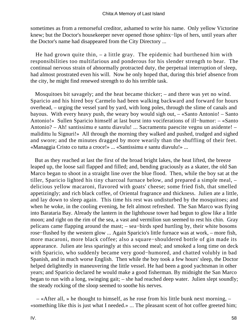sometimes as from a remorseful creditor, ashamed to write his name. Only yellow Victorine knew; but the Doctor's housekeeper never opened those sphinx−lips of hers, until years after the Doctor's name had disappeared from the City Directory ...

 He had grown quite thin, – a little gray. The epidemic had burthened him with responsibilities too multifarious and ponderous for his slender strength to bear. The continual nervous strain of abnormally protracted duty, the perpetual interruption of sleep, had almost prostrated even his will. Now he only hoped that, during this brief absence from the city, he might find renewed strength to do his terrible task.

 Mosquitoes bit savagely; and the heat became thicker; – and there was yet no wind. Sparicio and his hired boy Carmelo had been walking backward and forward for hours overhead, – urging the vessel yard by yard, with long poles, through the slime of canals and bayous. With every heavy push, the weary boy would sigh out, – «Santo Antonio! – Santo Antonio!» Sullen Sparicio himself at last burst into vociferations of ill−humor: – «Santo Antonio? – Ah! santissimu e santu diavulu! ... Sacramentu paescite vegnu un asidente! – malidittu lu Signuri!» All through the morning they walked and pushed, trudged and sighed and swore; and the minutes dragged by more wearily than the shuffling of their feet. «Managgia Cristo co tutta a croce!» ... «Santissimu e santu diavulu!» ...

 But as they reached at last the first of the broad bright lakes, the heat lifted, the breeze leaped up, the loose sail flapped and filled; and, bending graciously as a skater, the old San Marco began to shoot in a straight line over the blue flood. Then, while the boy sat at the tiller, Sparicio lighted his tiny charcoal furnace below, and prepared a simple meal, – delicious yellow macaroni, flavored with goats' cheese; some fried fish, that smelled appetizingly; and rich black coffee, of Oriental fragrance and thickness. Julien ate a little, and lay down to sleep again. This time his rest was undisturbed by the mosquitoes; and when he woke, in the cooling evening, he felt almost refreshed. The San Marco was flying into Barataria Bay. Already the lantern in the lighthouse tower had begun to glow like a little moon; and right on the rim of the sea, a vast and vermilion sun seemed to rest his chin. Gray pelicans came flapping around the mast; – sea−birds sped hurtling by, their white bosoms rose−flushed by the western glow ... Again Sparicio's little furnace was at work, – more fish, more macaroni, more black coffee; also a square−shouldered bottle of gin made its appearance. Julien ate less sparingly at this second meal; and smoked a long time on deck with Sparicio, who suddenly became very good−humored, and chatted volubly in bad Spanish, and in much worse English. Then while the boy took a few hours' sleep, the Doctor helped delightedly in maneuvering the little vessel. He had been a good yachtsman in other years; and Sparicio declared he would make a good fisherman. By midnight the San Marco began to run with a long, swinging gait; – she had reached deep water. Julien slept soundly; the steady rocking of the sloop seemed to soothe his nerves.

 – «After all, » he thought to himself, as he rose from his little bunk next morning, – «something like this is just what I needed.» ... The pleasant scent of hot coffee greeted him;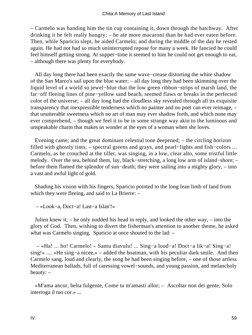– Carmelo was handing him the tin cup containing it, down through the hatchway. After drinking it he felt really hungry; – he ate more macaroni than he had ever eaten before. Then, while Sparicio slept, he aided Carmelo; and during the middle of the day he rested again. He had not had so much uninterrupted repose for many a week. He fancied he could feel himself getting strong. At supper−time it seemed to him he could not get enough to eat, – although there was plenty for everybody.

 All day long there had been exactly the same wave−crease distorting the white shadow of the San Marco's sail upon the blue water; – all day long they had been skimming over the liquid level of a world so jewel−blue that the low green ribbon−strips of marsh land, the far−off fleeing lines of pine−yellow sand beach, seemed flaws or breaks in the perfected color of the universe; – all day long had the cloudless sky revealed through all its exquisite transparency that inexpressible tenderness which no painter and no poet can ever reimage, – that unutterable sweetness which no art of man may ever shadow forth, and which none may ever comprehend, – though we feel it to be in some strange way akin to the luminous and unspeakable charm that makes us wonder at the eyes of a woman when she loves.

 Evening came; and the great dominant celestial tone deepened; – the circling horizon filled with ghostly tints, – spectral greens and grays, and pearl−lights and fish−colors ... Carmelo, as he crouched at the tiller, was singing, in a low, clear alto, some tristful little melody. Over the sea, behind them, lay, black−stretching, a long low arm of island−shore; – before them flamed the splendor of sun−death; they were sailing into a mighty glory, – into a vast and awful light of gold.

 Shading his vision with his fingers, Sparicio pointed to the long lean limb of land from which they were fleeing, and said to La Brierre: –

– «Look−a, Doct−a! Last−a Islan'!»

 Julien knew it; – he only nodded his head in reply, and looked the other way, – into the glory of God. Then, wishing to divert the fisherman's attention to another theme, he asked what was Carmelo singing. Sparicio at once shouted to the lad:  $-$ 

 – «Ha! ... ho! Carmelo! – Santu diavulu! ... Sing−a loud−a! Doct−a lik−a! Sing−a! sing!» .... «He sing−a nicee,» – added the boatman, with his peculiar dark smile. And then Carmelo sang, loud and clearly, the song he had been singing before, – one of those artless Mediterranean ballads, full of caressing vowel−sounds, and young passion, and melancholy beauty: –

 «M'ama ancor, belta fulgente, Come tu m'amasti allor; – Ascoltar non dei gente, Solo interroga il tuo cor.» ...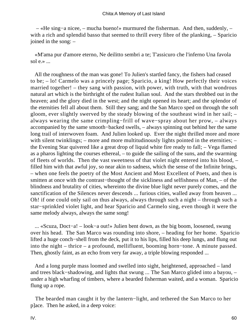– «He sing−a nicee, – mucha bueno!» murmured the fisherman. And then, suddenly, – with a rich and splendid basso that seemed to thrill every fibre of the planking, – Sparicio joined in the song: –

 «M'ama pur d'amore eterno, Ne deilitto sembri a te; T'assicuro che l'inferno Una favola sol  $e \rightarrow \ldots$ 

 All the roughness of the man was gone! To Julien's startled fancy, the fishers had ceased to be; – lo! Carmelo was a princely page; Sparicio, a king! How perfectly their voices married together! – they sang with passion, with power, with truth, with that wondrous natural art which is the birthright of the rudest Italian soul. And the stars throbbed out in the heaven; and the glory died in the west; and the night opened its heart; and the splendor of the eternities fell all about them. Still they sang; and the San Marco sped on through the soft gloom, ever slightly swerved by the steady blowing of the southeast wind in her sail; – always wearing the same crimpling−frill of wave−spray about her prow, – always accompanied by the same smooth−backed swells, – always spinning out behind her the same long trail of interwoven foam. And Julien looked up. Ever the night thrilled more and more with silent twinklings; – more and more multitudinously lights pointed in the eternities; – the Evening Star quivered like a great drop of liquid white fire ready to fall; – Vega flamed as a pharos lighting the courses ethereal, – to guide the sailing of the suns, and the swarming of fleets of worlds. Then the vast sweetness of that violet night entered into his blood, – filled him with that awful joy, so near akin to sadness, which the sense of the Infinite brings, – when one feels the poetry of the Most Ancient and Most Excellent of Poets, and then is smitten at once with the contrast−thought of the sickliness and selfishness of Man, – of the blindness and brutality of cities, whereinto the divine blue light never purely comes, and the sanctification of the Silences never descends ... furious cities, walled away from heaven ... Oh! if one could only sail on thus always, always through such a night – through such a star−sprinkled violet light, and hear Sparicio and Carmelo sing, even though it were the same melody always, always the same song!

 ... «Scuza, Doct−a! – look−a out!» Julien bent down, as the big boom, loosened, swung over his head. The San Marco was rounding into shore, – heading for her home. Sparicio lifted a huge conch−shell from the deck, put it to his lips, filled his deep lungs, and flung out into the night – thrice – a profound, mellifluent, booming horn−tone. A minute passed. Then, ghostly faint, as an echo from very far away, a triple blowing responded ...

 And a long purple mass loomed and swelled into sight, heightened, approached – land and trees black−shadowing, and lights that swung ... The San Marco glided into a bayou, – under a high wharfing of timbers, where a bearded fisherman waited, and a woman. Sparicio flung up a rope.

 The bearded man caught it by the lantern−light, and tethered the San Marco to her p]ace. Then he asked, in a deep voice: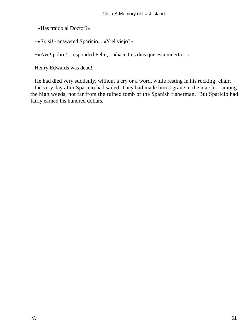−«Has traido al Doctor?»

−«Si, si!» answered Sparicio... «Y el viejo?»

−«Aye! pobre!» responded Feliu, – «hace tres dias que esta muerto. »

Henry Edwards was dead!

 He had died very suddenly, without a cry or a word, while resting in his rocking−chair, – the very day after Sparicio had sailed. They had made him a grave in the marsh, – among the high weeds, not far from the ruined tomb of the Spanish fisherman. But Sparicio had fairly earned his hundred dollars.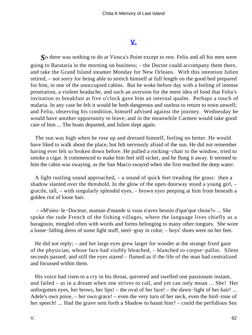## **[V.](#page-70-0)**

<span id="page-62-0"></span>*S*o there was nothing to do at Viosca's Point except to rest. Feliu and all his men were going to Barataria in the morning on business; – the Doctor could accompany them there, and take the Grand Island steamer Monday for New Orleans. With this intention Julien retired, – not sorry for being able to stretch himself at full length on the good bed prepared for him, in one of the unoccupied cabins. But he woke before day with a feeling of intense prostration, a violent headache, and such an aversion for the mere idea of food that Feliu's invitation to breakfast at five o'clock gave him an internal qualm. Perhaps a touch of malaria. In any case he felt it would be both dangerous and useless to return to town unwell; and Feliu, observing his condition, himself advised against the journey. Wednesday he would have another opportunity to leave; and in the meanwhile Carmen would take good care of him ... The boats departed, and Julien slept again.

 The sun was high when he rose up and dressed himself, feeling no better. He would have liked to walk about the place, but felt nervously afraid of the sun. He did not remember having ever felt so broken down before. He pulled a rocking−chair to the window, tried to smoke a cigar. It commenced to make him feel still sicker, and he flung it away. It seemed to him the cabin was swaying, as the San Marco swayed when she first reached the deep water.

 A light rustling sound approached, – a sound of quick feet treading the grass: then a shadow slanted over the threshold. In the glow of the open doorway stood a young girl, – gracile, tall, – with singularly splendid eyes, – brown eyes peeping at him from beneath a golden riot of loose hair.

 – «M'sieu−le−Docteur, maman d'mande si vous n'avez besoin d'que'que chose?» ... She spoke the rude French of the fishing villages, where the language lives chiefly as a baragouin, mingled often with words and forms belonging to many other tongues. She wore a loose−falling dress of some light stuff, steel−gray in color; – boys' shoes were on her feet.

 He did not reply; – and her large eyes grew larger for wonder at the strange fixed gaze of the physician, whose face had visibly bleached, – blanched to corpse−pallor. Silent seconds passed; and still the eyes stared – flamed as if the life of the man had centralized and focussed within them.

 His voice had risen to a cry in his throat, quivered and swelled one passionate instant, and failed – as in a dream when one strives to call, and yet can only moan ... She! Her unforgotten eyes, her brows, her lips! – the oval of her face! – the dawn−light of her hair! ... Adele's own poise, – her own grace! – even the very turn of her neck, even the bird−tone of her speech! ... Had the grave sent forth a Shadow to haunt him? – could the perfidious Sea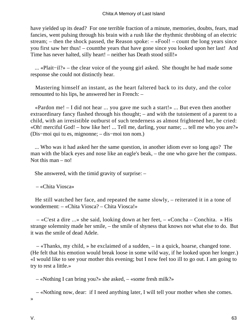have yielded up its dead? For one terrible fraction of a minute, memories, doubts, fears, mad fancies, went pulsing through his brain with a rush like the rhythmic throbbing of an electric stream; – then the shock passed, the Reason spoke: – «Fool! – count the long years since you first saw her thus! – countthe years that have gone since you looked upon her last! And Time has never halted, silly heart! – neither has Death stood still!»

 ... «Plait−il?» – the clear voice of the young girl asked. She thought he had made some response she could not distinctly hear.

 Mastering himself an instant, as the heart faltered back to its duty, and the color remounted to his lips, he answered her in French: –

 «Pardon me! – I did not hear ... you gave me such a start!» ... But even then another extraordinary fancy flashed through his thought; – and with the tutoiement of a parent to a child, with an irresistible outburst of such tenderness as almost frightened her, he cried: «Oh! merciful God! – how like her! ... Tell me, darling, your name; ... tell me who you are?» (Dis−moi qui tu es, mignonne; – dis−moi ton nom.)

 ... Who was it had asked her the same question, in another idiom ever so long ago? The man with the black eyes and nose like an eagle's beak, – the one who gave her the compass. Not this man – no!

She answered, with the timid gravity of surprise: –

– «Chita Viosca»

 He still watched her face, and repeated the name slowly, – reiterated it in a tone of wonderment: – «Chita Viosca? – Chita Viosca!»

 – «C'est a dire ...» she said, looking down at her feet, – «Concha – Conchita. » His strange solemnity made her smile, – the smile of shyness that knows not what else to do. But it was the smile of dead Adele.

 – «Thanks, my child, » he exclaimed of a sudden, – in a quick, hoarse, changed tone. (He felt that his emotion would break loose in some wild way, if he looked upon her longer.) «I would like to see your mother this evening; but I now feel too ill to go out. I am going to try to rest a little.»

– «Nothing I can bring you?» she asked, – «some fresh milk?»

 – «Nothing now, dear: if I need anything later, I will tell your mother when she comes. »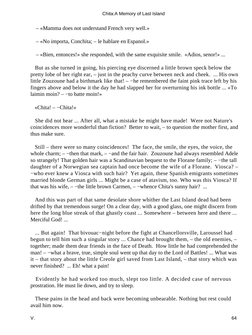– «Mamma does not understand French very well.»

– «No importa, Conchita; – le hablare en Espanol.»

– «Bien, entonces!» she responded, with the same exquisite smile. «Adios, senor!» ...

 But as she turned in going, his piercing eye discerned a little brown speck below the pretty lobe of her right ear, – just in the peachy curve between neck and cheek. ... His own little Zouzoune had a birthmark like that! – −he remembered the faint pink trace left by his fingers above and below it the day he had slapped her for overturning his ink bottle ... «To laimin moin? – −to batte moin!»

«Chita! – −Chita!»

 She did not hear ... After all, what a mistake he might have made! Were not Nature's coincidences more wonderful than fiction? Better to wait, – to question the mother first, and thus make sure.

 Still – there were so many coincidences! The face, the smile, the eyes, the voice, the whole charm; – –then that mark, – –and the fair hair. Zouzoune had always resembled Adele so strangely! That golden hair was a Scandinavian bequest to the Florane family; – −the tall daughter of a Norwegian sea captain had once become the wife of a Florane. Viosca? – −who ever knew a Viosca with such hair? Yet again, these Spanish emigrants sometimes married blonde German girls ... Might be a case of atavism, too. Who was this Viosca? If that was his wife, – −the little brown Carmen, – −whence Chita's sunny hair? ...

 And this was part of that same desolate shore whither the Last Island dead had been drifted by that tremendous surge! On a clear day, with a good glass, one might discern from here the long blue streak of that ghastly coast ... Somewhere – between here and there ... Merciful God!...

 ... But again! That bivouac−night before the fight at Chancellorsville, Laroussel had begun to tell him such a singular story ... Chance had brought them, – the old enemies, – together; made them dear friends in the face of Death. How little he had comprehended the man! – –what a brave, true, simple soul went up that day to the Lord of Battles! ... What was it – that story about the little Creole girl saved from Last Island, – that story which was never finished? ... Eh! what a pain!

 Evidently he had worked too much, slept too little. A decided case of nervous prostration. He must lie down, and try to sleep.

 These pains in the head and back were becoming unbearable. Nothing but rest could avail him now.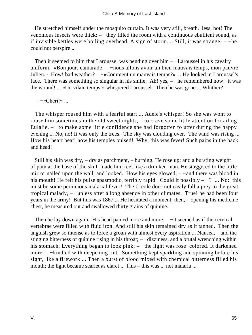He stretched himself under the mosquito curtain. It was very still, breath. less, hot! The venomous insects were thick; – −they filled the room with a continuous ebullient sound, as if invisible kettles were boiling overhead. A sign of storm.... Still, it was strange! – −he could not perspire ...

Then it seemed to him that Laroussel was bending over him – −Laroussel in his cavalry uniform. «Bon jour, camarade! – −nous allons avoir un bien mauvais temps, mon pauvre Julien.» How! bad weather? – −«Comment un mauvais temps?» ... He looked in Laroussel's face. There was something so singular in his smile. Ah! yes, – –he remembered now: it was the wound! ... «Un vilain temps!» whispered Laroussel. Then he was gone ... Whither?

 $-$ «Cheri!» ...

 The whisper roused him with a fearful start ... Adele's whisper! So she was wont to rouse him sometimes in the old sweet nights, – to crave some little attention for ailing Eulalie,  $-$  –to make some little confidence she had forgotten to utter during the happy evening ... No, no! It was only the trees. The sky was clouding over. The wind was rising ... How his heart beat! how his temples pulsed! Why, this was fever! Such pains in the back and head!

 Still his skin was dry, – dry as parchment, – burning. He rose up; and a bursting weight of pain at the base of the skull made him reel like a drunken man. He staggered to the little mirror nailed upon the wall, and looked. How his eyes glowed; – −and there was blood in his mouth! He felt his pulse spasmodic, terribly rapid. Could it possibly  $-$  -? ... No: this must be some pernicious malarial fever! The Creole does not easily fall a prey to the great tropical malady, – −unless after a long absence in other climates. True! he had been four years in the army! But this was 1867 ... He hesitated a moment; then, – opening his medicine chest, he measured out and swallowed thirty grains of quinine.

Then he lay down again. His head pained more and more; – –it seemed as if the cervical vertebrae were filled with fluid iron. And still his skin remained dry as if tanned. Then the anguish grew so intense as to force a groan with almost every aspiration ... Nausea, – and the stinging bitterness of quinine rising in his throat; – −dizziness, and a brutal wrenching within his stomach. Everything began to look pink; – −the light was rose−colored. It darkened more, – –kindled with deepening tint. Something kept sparkling and spinning before his sight, like a firework ... Then a burst of blood mixed with chemical bitterness filled his mouth; the light became scarlet as claret ... This – this was ... not malaria ...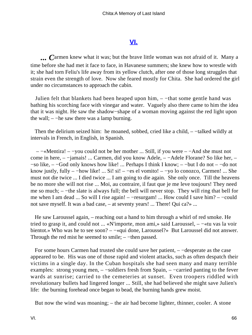#### **[VI.](#page-70-0)**

<span id="page-66-0"></span>*... C*armen knew what it was; but the brave little woman was not afraid of it. Many a time before she had met it face to face, in Havanese summers; she knew how to wrestle with it; she had torn Feliu's life away from its yellow clutch, after one of those long struggles that strain even the strength of love. Now she feared mostly for Chita. She had ordered the girl under no circumstances to approach the cabin.

 Julien felt that blankets had been heaped upon him, – −that some gentle hand was bathing his scorching face with vinegar and water. Vaguely also there came to him the idea that it was night. He saw the shadow−shape of a woman moving against the red light upon the wall;  $-$  – he saw there was a lamp burning.

 Then the delirium seized him: he moaned, sobbed, cried like a child, – −talked wildly at intervals in French, in English, in Spanish.

 – −«Mentira! – −you could not be her mother ... Still, if you were – −And she must not come in here, – −jamais! ... Carmen, did you know Adele, – −Adele Florane? So like her, – −so like, – −God only knows how like! ... Perhaps I think I know; – −but I do not – −do not know justly, fully – −how like! ... Si! si! – −es el vomito! – −yo lo conozco, Carmen! ... She must not die twice ... I died twice ... I am going to die again. She only once. Till the heavens be no more she will not rise ... Moi, au contraire, il faut que je me leve toujours! They need me so much; – −the slate is always full; the bell will never stop. They will ring that bell for me when I am dead ... So will I rise again! – −resurgam! ... How could I save him? – −could not save myself. It was a bad case, – at seventy years! ... There! Qui ca?» ...

 He saw Laroussel again, – reaching out a hand to him through a whirl of red smoke. He tried to grasp it, and could not ... «N'importe, mon ami,» said Laroussel, – −«tu vas la voir bientot.» Who was he to see soon? – −«qui done, Laroussel?» But Laroussel did not answer. Through the red mist he seemed to smile; – –then passed.

 For some hours Carmen had trusted she could save her patient, – −desperate as the case appeared to be. His was one of those rapid and violent attacks, such as often despatch their victims in a single day. In the Cuban hospitals she had seen many and many terrible examples: strong young men, – −soldiers fresh from Spain, – −carried panting to the fever wards at sunrise; carried to the cemeteries at sunset. Even troopers riddled with revolutionary bullets had lingered longer ... Still, she had believed she might save Julien's life: the burning forehead once began to bead, the burning hands grew moist.

But now the wind was moaning; – the air had become lighter, thinner, cooler. A stone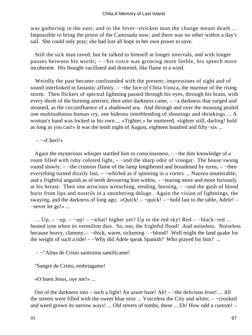was gathering in the east; and to the fever−stricken man the change meant death ... Impossible to bring the priest of the Caminada now; and there was no other within a day's sail. She could only pray; she had lost all hope in her own power to save.

 Still the sick man raved; but he talked to himself at longer intervals, and with longer pauses between his words; – −his voice was growing more feeble, his speech more incoherent. His thought vacillated and distorted, like flame in a wind.

 Weirdly the past became confounded with the present; impressions of sight and of sound interlinked in fastastic affinity, – –the face of Chita Viosca, the murmur of the rising storm. Then flickers of spectral lightning passed through his eyes, through his brain, with every throb of the burning arteries; then utter darkness came, – −a darkness that surged and moaned, as the circumfluence of a shadowed sea. And through and over the moaning pealed one multitudinous human cry, one hideous interblending of shoutings and shriekings ... A woman's hand was locked in his own ... «Tighter,» he muttered, «tighter still, darling! hold as long as you can!» It was the tenth night of August, eighteen hundred and fifty−six ...

#### – −«Cheri!»

 Again the mysterious whisper startled him to consciousness, – −the dim knowledge of a room filled with ruby colored light, – –and the sharp odor of vinegar. The house swung round slowly; – −the crimson flame of the lamp lengthened and broadened by turns; – −then everything turned dizzily fast, – –whirled as if spinning in a vortex ... Nausea unutterable; and a frightful anguish as of teeth devouring him within, – −tearing more and more furiously at his breast. Then one atrocious wrenching, rending, burning, – −and the gush of blood burst from lips and nostrils in a smothering deluge. Again the vision of lightnings, the swaying, and the darkness of long ago. «Quick! – –quick! – –hold fast to the table, Adele! – −never let go!» ...

...  $Up, --up, -up!$  –  $-what!$  higher yet? Up to the red sky! Red – -black-red ... heated iron when its vermilion dies. So, too, the frightful flood! And noiseless. Noiseless because heavy, clammy, – −thick, warm, sickening – −blood? Well might the land quake for the weight of such a tide! – −Why did Adele speak Spanish? Who prayed for him? ...

– −"Alma de Cristo santisima santificame!

"Sangre de Cristo, embriagame!

«O buen Jesus, oye me!» ...

 Out of the darkness into – such a light! An azure haze! Ah! – −the delicious frost! ... All the streets were filled with the sweet blue mist ... Voiceless the City and white; – −crooked and weed grown its narrow ways! ... Old streets of tombs, these ... Eh! How odd a custom! –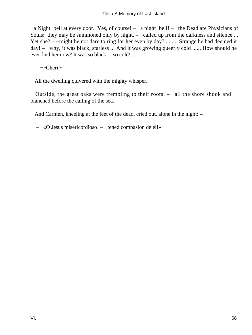−a Night−bell at every door. Yes, of course! – −a night−bell! – −the Dead are Physicians of Souls: they may be summoned only by night, – –called up from the darkness and silence ... Yet she? – −might he not dare to ring for her even by day? ........ Strange he had deemed it day! – −why, it was black, starless ... And it was growing queerly cold ...... How should he ever find her now? It was so black ... so cold! ...

– −«Cheri!»

All the dwelling quivered with the mighty whisper.

 Outside, the great oaks were trembling to their roots; – −all the shore shook and blanched before the calling of the sea.

And Carmen, kneeling at the feet of the dead, cried out, alone in the night: – −

– −«O Jesus misericordioso! – −tened compasion de el!»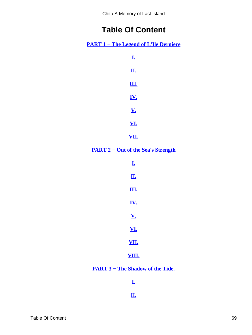Chita:A Memory of Last Island

# **Table Of Content**

<span id="page-69-0"></span>**[PART 1 − The Legend of L'Ile Derniere](#page-3-0)**

| <u>I.</u>  |  |
|------------|--|
| <u>п.</u>  |  |
| <u>ш.</u>  |  |
| <u>IV.</u> |  |
| <u>V.</u>  |  |
| <u>VI.</u> |  |

**[VII.](#page-21-0)**

**[PART 2 − Out of the Sea's Strength](#page-23-0)**

| Ī.           |  |
|--------------|--|
| <u>П.</u>    |  |
| <u>Щ.</u>    |  |
| <u>IV.</u>   |  |
| <u>V.</u>    |  |
| <u>VI.</u>   |  |
| VII.         |  |
| <u>VIII.</u> |  |

**[PART 3 − The Shadow of the Tide.](#page-45-0)**

**[I.](#page-46-0)**

**[II.](#page-50-0)**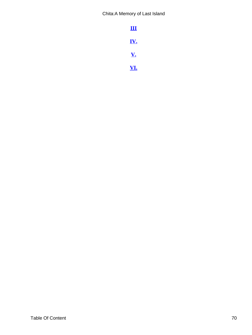<span id="page-70-0"></span>Chita:A Memory of Last Island

| Ш          |  |
|------------|--|
| <u>IV.</u> |  |
| <u>V.</u>  |  |
| <u>VI.</u> |  |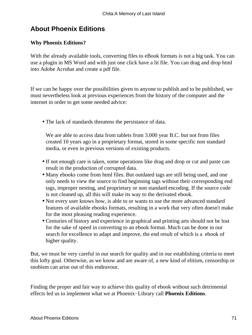# **About Phoenix Editions**

#### **Why Phoenix Editions?**

With the already available tools, converting files to eBook formats is not a big task. You can use a plugin in MS Word and with just one click have a lit file. You can drag and drop html into Adobe Acrobat and create a pdf file.

If we can be happy over the possibilities given to anyone to publish and to be published, we must nevertheless look at previous experiences from the history of the computer and the internet in order to get some needed advice:

• The lack of standards threatens the persistance of data.

We are able to access data from tablets from 3.000 year B.C. but not from files created 10 years ago in a proprietary format, stored in some specific non standard media, or even in previous versions of existing products.

- If not enough care is taken, some operations like drag and drop or cut and paste can result in the production of corrupted data.
- Many ebooks come from html files. But outdated tags are still being used, and one only needs to view the source to find beginning tags without their corresponding end tags, improper nesting, and proprietary or non standard encoding. If the source code is not cleaned up, all this will make its way to the derivated ebook.
- Not every user knows how, is able to or wants to use the more advanced standard features of available ebooks formats, resulting in a work that very often doesn't make for the most pleasing reading experience.
- Centuries of history and experience in graphical and printing arts should not be lost for the sake of speed in converting to an ebook format. Much can be done in our search for excellence to adapt and improve, the end result of which is a ebook of higher quality.

But, we must be very careful in our search for quality and in our establishing criteria to meet this lofty goal. Otherwise, as we know and are aware of, a new kind of elitism, censorship or snobism can arise out of this endeavour.

Finding the proper and fair way to achieve this quality of ebook without such detrimental effects led us to implement what we at Phoenix−Library call **Phoenix Editions**.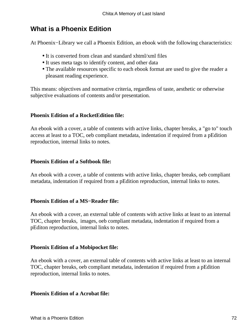# **What is a Phoenix Edition**

At Phoenix−Library we call a Phoenix Edition, an ebook with the following characteristics:

- It is converted from clean and standard xhtml/xml files
- It uses meta tags to identify content, and other data
- The available resources specific to each ebook format are used to give the reader a pleasant reading experience.

This means: objectives and normative criteria, regardless of taste, aesthetic or otherwise subjective evaluations of contents and/or presentation.

## **Phoenix Edition of a RocketEdition file:**

An ebook with a cover, a table of contents with active links, chapter breaks, a "go to" touch access at least to a TOC, oeb compliant metadata, indentation if required from a pEdition reproduction, internal links to notes.

## **Phoenix Edition of a Softbook file:**

An ebook with a cover, a table of contents with active links, chapter breaks, oeb compliant metadata, indentation if required from a pEdition reproduction, internal links to notes.

## **Phoenix Edition of a MS−Reader file:**

An ebook with a cover, an external table of contents with active links at least to an internal TOC, chapter breaks, images, oeb compliant metadata, indentation if required from a pEditon reproduction, internal links to notes.

## **Phoenix Edition of a Mobipocket file:**

An ebook with a cover, an external table of contents with active links at least to an internal TOC, chapter breaks, oeb compliant metadata, indentation if required from a pEdition reproduction, internal links to notes.

#### **Phoenix Edition of a Acrobat file:**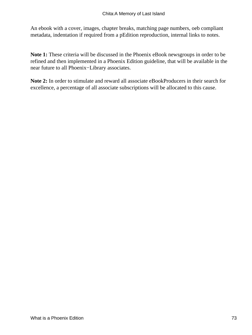An ebook with a cover, images, chapter breaks, matching page numbers, oeb compliant metadata, indentation if required from a pEdition reproduction, internal links to notes.

**Note 1:** These criteria will be discussed in the Phoenix eBook newsgroups in order to be refined and then implemented in a Phoenix Edition guideline, that will be available in the near future to all Phoenix−Library associates.

**Note 2:** In order to stimulate and reward all associate eBookProducers in their search for excellence, a percentage of all associate subscriptions will be allocated to this cause.